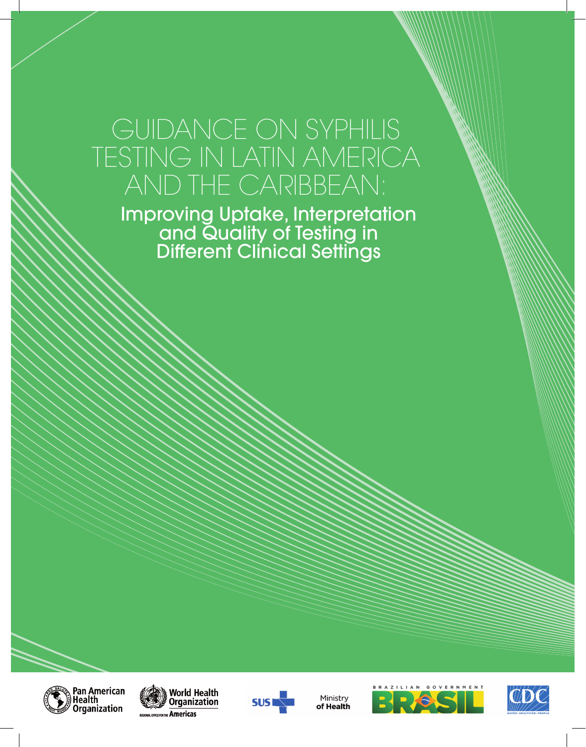## GUIDANCE ON SYPHILIS TESTING IN LATIN AMERICA AND THE CARIBBEAN:

Improving Uptake, Interpretation and Quality of Testing in Different Clinical Settings







Ministry of Health



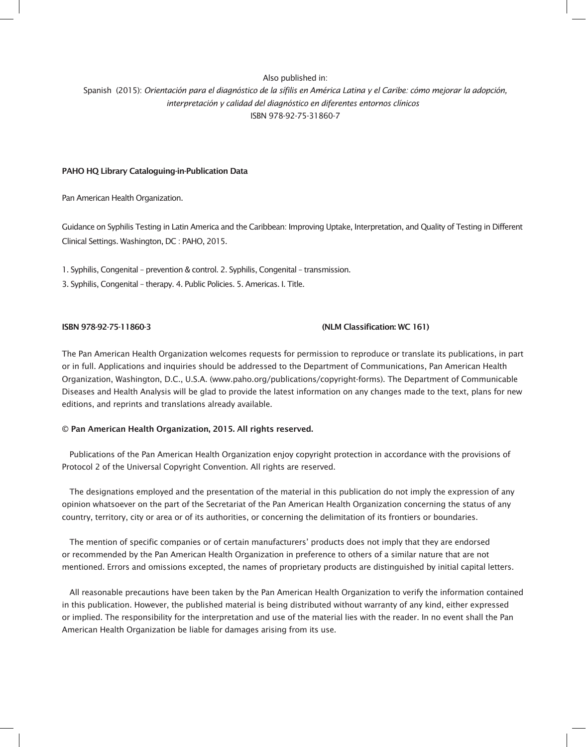#### Also published in: Spanish (2015): *Orientación para el diagnóstico de la sífilis en América Latina y el Caribe: cómo mejorar la adopción, interpretación y calidad del diagnóstico en diferentes entornos clínicos*  ISBN 978-92-75-31860-7

#### PAHO HQ Library Cataloguing-in-Publication Data

Pan American Health Organization.

Guidance on Syphilis Testing in Latin America and the Caribbean: Improving Uptake, Interpretation, and Quality of Testing in Different Clinical Settings. Washington, DC : PAHO, 2015.

1. Syphilis, Congenital – prevention & control. 2. Syphilis, Congenital – transmission.

3. Syphilis, Congenital – therapy. 4. Public Policies. 5. Americas. I. Title.

#### ISBN 978-92-75-11860-3 (NLM Classification: WC 161)

The Pan American Health Organization welcomes requests for permission to reproduce or translate its publications, in part or in full. Applications and inquiries should be addressed to the Department of Communications, Pan American Health Organization, Washington, D.C., U.S.A. (www.paho.org/publications/copyright-forms). The Department of Communicable Diseases and Health Analysis will be glad to provide the latest information on any changes made to the text, plans for new editions, and reprints and translations already available.

#### © Pan American Health Organization, 2015. All rights reserved.

Publications of the Pan American Health Organization enjoy copyright protection in accordance with the provisions of Protocol 2 of the Universal Copyright Convention. All rights are reserved.

The designations employed and the presentation of the material in this publication do not imply the expression of any opinion whatsoever on the part of the Secretariat of the Pan American Health Organization concerning the status of any country, territory, city or area or of its authorities, or concerning the delimitation of its frontiers or boundaries.

The mention of specific companies or of certain manufacturers' products does not imply that they are endorsed or recommended by the Pan American Health Organization in preference to others of a similar nature that are not mentioned. Errors and omissions excepted, the names of proprietary products are distinguished by initial capital letters.

All reasonable precautions have been taken by the Pan American Health Organization to verify the information contained in this publication. However, the published material is being distributed without warranty of any kind, either expressed or implied. The responsibility for the interpretation and use of the material lies with the reader. In no event shall the Pan American Health Organization be liable for damages arising from its use.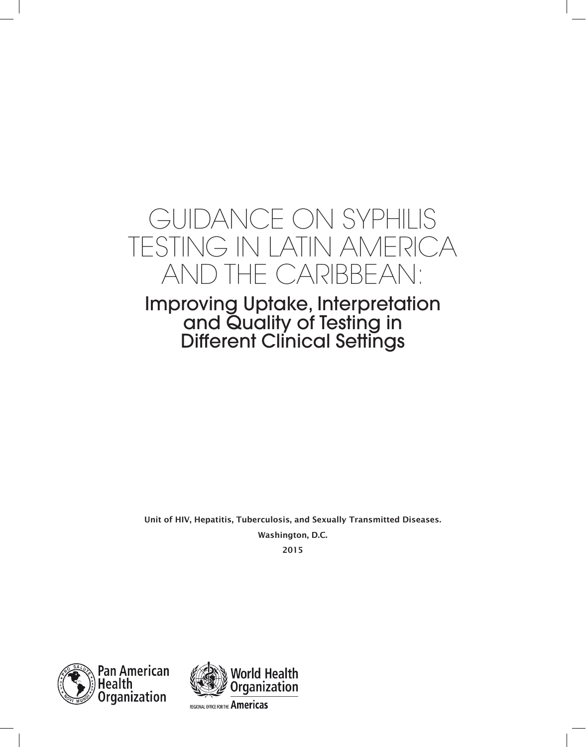## GUIDANCE ON SYPHILIS TESTING IN LATIN AMERICA AND THE CARIBBEAN:

### Improving Uptake, Interpretation and Quality of Testing in Different Clinical Settings

Unit of HIV, Hepatitis, Tuberculosis, and Sexually Transmitted Diseases. Washington, D.C.

2015



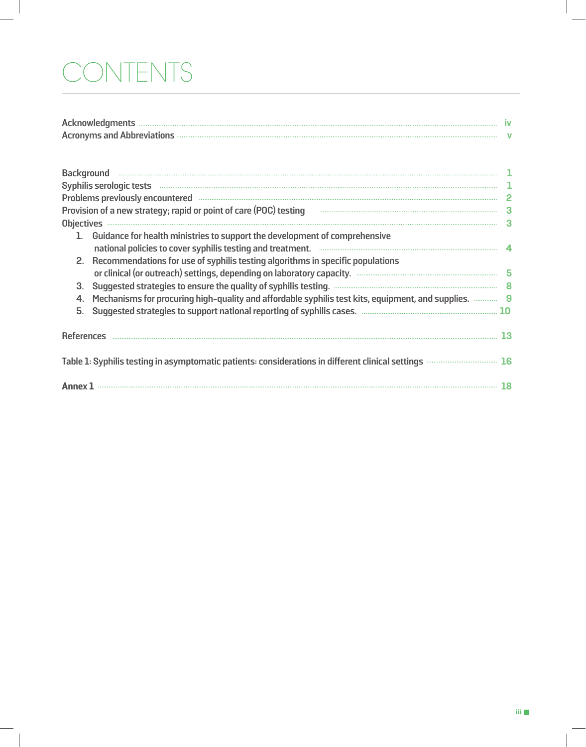# CONTENTS

 $\sim$  1

| <b>Acknowledgments</b>             |  |
|------------------------------------|--|
| <b>Acronyms and Abbreviations </b> |  |

| Problems previously encountered <b>www.washington.communities</b>                                                                                                                                                                                                                                                                                                                                                        |  |
|--------------------------------------------------------------------------------------------------------------------------------------------------------------------------------------------------------------------------------------------------------------------------------------------------------------------------------------------------------------------------------------------------------------------------|--|
| 1. Guidance for health ministries to support the development of comprehensive<br>national policies to cover syphilis testing and treatment. <b>Communications</b> and the set of the set of the set of the set of the set of the set of the set of the set of the set of the set of the set of the set of the set of<br>Recommendations for use of syphilis testing algorithms in specific populations<br>2.<br>3.<br>5. |  |
|                                                                                                                                                                                                                                                                                                                                                                                                                          |  |
| Table 1: Syphilis testing in asymptomatic patients: considerations in different clinical settings <b>Access 2006</b> 16                                                                                                                                                                                                                                                                                                  |  |
| Annex 1                                                                                                                                                                                                                                                                                                                                                                                                                  |  |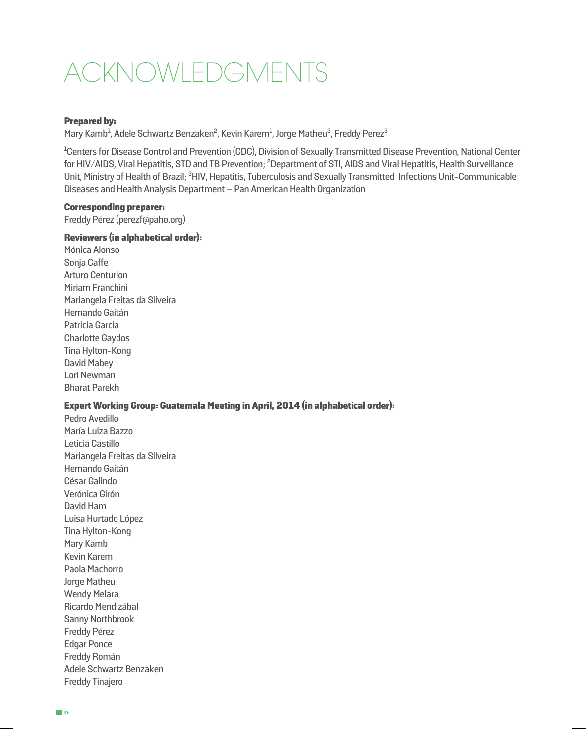## ACKNOWLEDGMENTS

#### Prepared by:

Mary Kamb<sup>1</sup>, Adele Schwartz Benzaken<sup>2</sup>, Kevin Karem<sup>1</sup>, Jorge Matheu<sup>3</sup>, Freddy Perez<sup>3</sup>

<sup>1</sup>Centers for Disease Control and Prevention (CDC), Division of Sexually Transmitted Disease Prevention, National Center for HIV/AIDS, Viral Hepatitis, STD and TB Prevention; <sup>2</sup>Department of STI, AIDS and Viral Hepatitis, Health Surveillance Unit, Ministry of Health of Brazil; <sup>3</sup>HIV, Hepatitis, Tuberculosis and Sexually Transmitted Infections Unit-Communicable Diseases and Health Analysis Department – Pan American Health Organization

#### Corresponding preparer:

Freddy Pérez (perezf@paho.org)

#### Reviewers (in alphabetical order):

Mónica Alonso Sonja Caffe Arturo Centurion Miriam Franchini Mariangela Freitas da Silveira Hernando Gaitán Patricia Garcia Charlotte Gaydos Tina Hylton-Kong David Mabey Lori Newman Bharat Parekh

#### Expert Working Group: Guatemala Meeting in April, 2014 (in alphabetical order):

Pedro Avedillo María Luiza Bazzo Leticia Castillo Mariangela Freitas da Silveira Hernando Gaitán César Galindo Verónica Girón David Ham Luisa Hurtado López Tina Hylton-Kong Mary Kamb Kevin Karem Paola Machorro Jorge Matheu Wendy Melara Ricardo Mendizábal Sanny Northbrook Freddy Pérez Edgar Ponce Freddy Román Adele Schwartz Benzaken Freddy Tinajero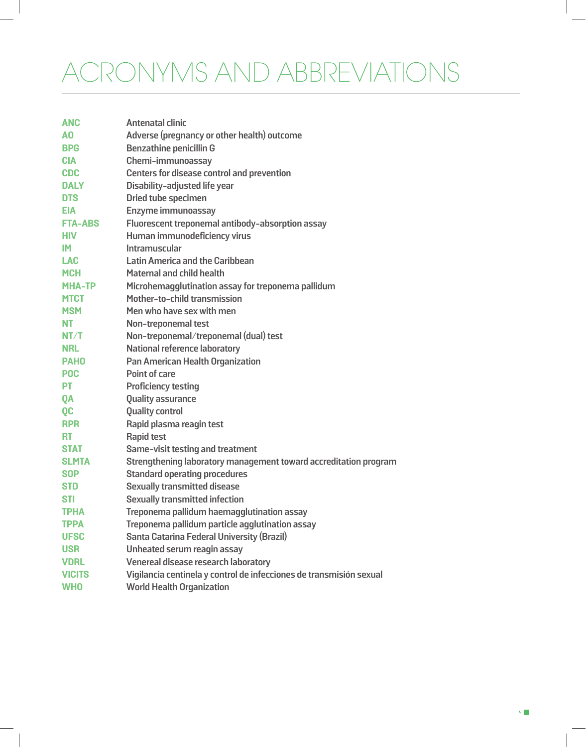# ACRONYMS AND ABBREVIATIONS

| <b>ANC</b>     | <b>Antenatal clinic</b>                                             |
|----------------|---------------------------------------------------------------------|
| A0             | Adverse (pregnancy or other health) outcome                         |
| <b>BPG</b>     | <b>Benzathine penicillin G</b>                                      |
| <b>CIA</b>     | Chemi-immunoassay                                                   |
| <b>CDC</b>     | <b>Centers for disease control and prevention</b>                   |
| <b>DALY</b>    | Disability-adjusted life year                                       |
| <b>DTS</b>     | <b>Dried tube specimen</b>                                          |
| <b>EIA</b>     | Enzyme immunoassay                                                  |
| <b>FTA-ABS</b> | Fluorescent treponemal antibody-absorption assay                    |
| <b>HIV</b>     | Human immunodeficiency virus                                        |
| <b>IM</b>      | Intramuscular                                                       |
| <b>LAC</b>     | <b>Latin America and the Caribbean</b>                              |
| <b>MCH</b>     | <b>Maternal and child health</b>                                    |
| <b>MHA-TP</b>  | Microhemagglutination assay for treponema pallidum                  |
| <b>MTCT</b>    | Mother-to-child transmission                                        |
| <b>MSM</b>     | Men who have sex with men                                           |
| <b>NT</b>      | Non-treponemal test                                                 |
| NT/T           | Non-treponemal/treponemal (dual) test                               |
| <b>NRL</b>     | <b>National reference laboratory</b>                                |
| <b>PAHO</b>    | <b>Pan American Health Organization</b>                             |
| <b>POC</b>     | <b>Point of care</b>                                                |
| <b>PT</b>      | <b>Proficiency testing</b>                                          |
| <b>QA</b>      | <b>Quality assurance</b>                                            |
| QC             | <b>Quality control</b>                                              |
| <b>RPR</b>     | Rapid plasma reagin test                                            |
| <b>RT</b>      | <b>Rapid test</b>                                                   |
| <b>STAT</b>    | Same-visit testing and treatment                                    |
| <b>SLMTA</b>   | Strengthening laboratory management toward accreditation program    |
| <b>SOP</b>     | <b>Standard operating procedures</b>                                |
| <b>STD</b>     | <b>Sexually transmitted disease</b>                                 |
| <b>STI</b>     | <b>Sexually transmitted infection</b>                               |
| <b>TPHA</b>    | Treponema pallidum haemagglutination assay                          |
| <b>TPPA</b>    | Treponema pallidum particle agglutination assay                     |
| <b>UFSC</b>    | Santa Catarina Federal University (Brazil)                          |
| <b>USR</b>     | Unheated serum reagin assay                                         |
| <b>VDRL</b>    | Venereal disease research laboratory                                |
| <b>VICITS</b>  | Vigilancia centinela y control de infecciones de transmisión sexual |
| <b>WHO</b>     | <b>World Health Organization</b>                                    |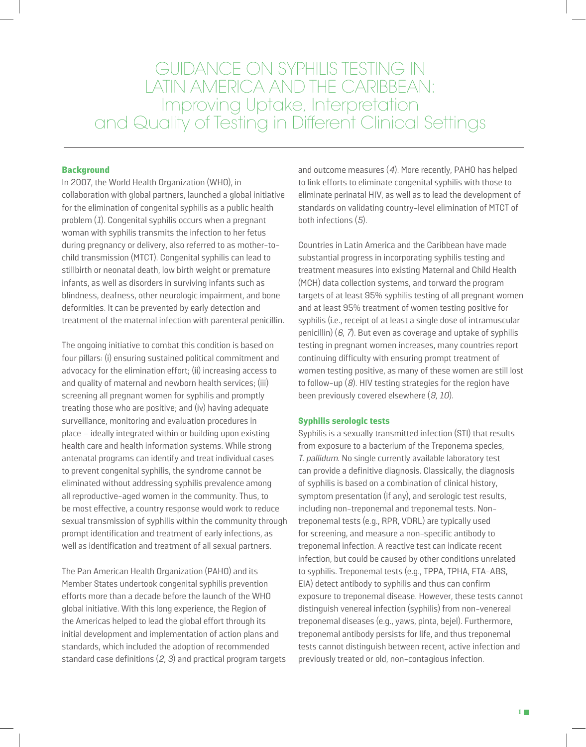GUIDANCE ON SYPHILIS TESTING IN LATIN AMERICA AND THE CARIBBEAN: Improving Uptake, Interpretation and Quality of Testing in Different Clinical Settings

#### **Background**

In 2007, the World Health Organization (WHO), in collaboration with global partners, launched a global initiative for the elimination of congenital syphilis as a public health problem  $(1)$ . Congenital syphilis occurs when a pregnant woman with syphilis transmits the infection to her fetus during pregnancy or delivery, also referred to as mother-tochild transmission (MTCT). Congenital syphilis can lead to stillbirth or neonatal death, low birth weight or premature infants, as well as disorders in surviving infants such as blindness, deafness, other neurologic impairment, and bone deformities. It can be prevented by early detection and treatment of the maternal infection with parenteral penicillin.

The ongoing initiative to combat this condition is based on four pillars: (i) ensuring sustained political commitment and advocacy for the elimination effort; (ii) increasing access to and quality of maternal and newborn health services; (iii) screening all pregnant women for syphilis and promptly treating those who are positive; and (iv) having adequate surveillance, monitoring and evaluation procedures in place – ideally integrated within or building upon existing health care and health information systems. While strong antenatal programs can identify and treat individual cases to prevent congenital syphilis, the syndrome cannot be eliminated without addressing syphilis prevalence among all reproductive-aged women in the community. Thus, to be most effective, a country response would work to reduce sexual transmission of syphilis within the community through prompt identification and treatment of early infections, as well as identification and treatment of all sexual partners.

The Pan American Health Organization (PAHO) and its Member States undertook congenital syphilis prevention efforts more than a decade before the launch of the WHO global initiative. With this long experience, the Region of the Americas helped to lead the global effort through its initial development and implementation of action plans and standards, which included the adoption of recommended standard case definitions  $(2, 3)$  and practical program targets

and outcome measures (4). More recently, PAHO has helped to link efforts to eliminate congenital syphilis with those to eliminate perinatal HIV, as well as to lead the development of standards on validating country-level elimination of MTCT of both infections (5).

Countries in Latin America and the Caribbean have made substantial progress in incorporating syphilis testing and treatment measures into existing Maternal and Child Health (MCH) data collection systems, and torward the program targets of at least 95% syphilis testing of all pregnant women and at least 95% treatment of women testing positive for syphilis (i.e., receipt of at least a single dose of intramuscular penicillin)  $(6, 7)$ . But even as coverage and uptake of syphilis testing in pregnant women increases, many countries report continuing difficulty with ensuring prompt treatment of women testing positive, as many of these women are still lost to follow-up  $(8)$ . HIV testing strategies for the region have been previously covered elsewhere (9, 10).

#### **Syphilis serologic tests**

Syphilis is a sexually transmitted infection (STI) that results from exposure to a bacterium of the Treponema species, T. pallidum. No single currently available laboratory test can provide a definitive diagnosis. Classically, the diagnosis of syphilis is based on a combination of clinical history, symptom presentation (if any), and serologic test results, including non-treponemal and treponemal tests. Nontreponemal tests (e.g., RPR, VDRL) are typically used for screening, and measure a non-specific antibody to treponemal infection. A reactive test can indicate recent infection, but could be caused by other conditions unrelated to syphilis. Treponemal tests (e.g., TPPA, TPHA, FTA-ABS, EIA) detect antibody to syphilis and thus can confirm exposure to treponemal disease. However, these tests cannot distinguish venereal infection (syphilis) from non-venereal treponemal diseases (e.g., yaws, pinta, bejel). Furthermore, treponemal antibody persists for life, and thus treponemal tests cannot distinguish between recent, active infection and previously treated or old, non-contagious infection.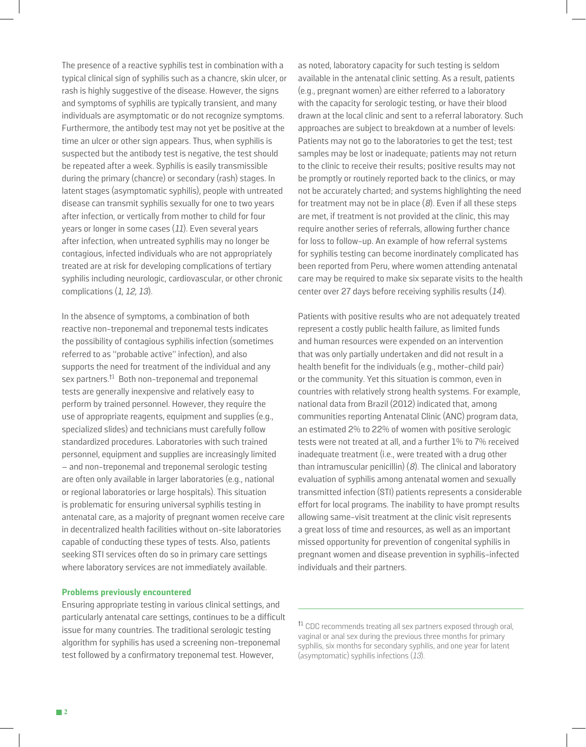The presence of a reactive syphilis test in combination with a typical clinical sign of syphilis such as a chancre, skin ulcer, or rash is highly suggestive of the disease. However, the signs and symptoms of syphilis are typically transient, and many individuals are asymptomatic or do not recognize symptoms. Furthermore, the antibody test may not yet be positive at the time an ulcer or other sign appears. Thus, when syphilis is suspected but the antibody test is negative, the test should be repeated after a week. Syphilis is easily transmissible during the primary (chancre) or secondary (rash) stages. In latent stages (asymptomatic syphilis), people with untreated disease can transmit syphilis sexually for one to two years after infection, or vertically from mother to child for four years or longer in some cases  $(11)$ . Even several years after infection, when untreated syphilis may no longer be contagious, infected individuals who are not appropriately treated are at risk for developing complications of tertiary syphilis including neurologic, cardiovascular, or other chronic complications  $(1, 12, 13)$ .

In the absence of symptoms, a combination of both reactive non-treponemal and treponemal tests indicates the possibility of contagious syphilis infection (sometimes referred to as "probable active" infection), and also supports the need for treatment of the individual and any sex partners. $<sup>11</sup>$  Both non-treponemal and treponemal</sup> tests are generally inexpensive and relatively easy to perform by trained personnel. However, they require the use of appropriate reagents, equipment and supplies (e.g., specialized slides) and technicians must carefully follow standardized procedures. Laboratories with such trained personnel, equipment and supplies are increasingly limited – and non-treponemal and treponemal serologic testing are often only available in larger laboratories (e.g., national or regional laboratories or large hospitals). This situation is problematic for ensuring universal syphilis testing in antenatal care, as a majority of pregnant women receive care in decentralized health facilities without on-site laboratories capable of conducting these types of tests. Also, patients seeking STI services often do so in primary care settings where laboratory services are not immediately available.

#### **Problems previously encountered**

Ensuring appropriate testing in various clinical settings, and particularly antenatal care settings, continues to be a difficult issue for many countries. The traditional serologic testing algorithm for syphilis has used a screening non-treponemal test followed by a confirmatory treponemal test. However,

as noted, laboratory capacity for such testing is seldom available in the antenatal clinic setting. As a result, patients (e.g., pregnant women) are either referred to a laboratory with the capacity for serologic testing, or have their blood drawn at the local clinic and sent to a referral laboratory. Such approaches are subject to breakdown at a number of levels: Patients may not go to the laboratories to get the test; test samples may be lost or inadequate; patients may not return to the clinic to receive their results; positive results may not be promptly or routinely reported back to the clinics, or may not be accurately charted; and systems highlighting the need for treatment may not be in place  $(8)$ . Even if all these steps are met, if treatment is not provided at the clinic, this may require another series of referrals, allowing further chance for loss to follow-up. An example of how referral systems for syphilis testing can become inordinately complicated has been reported from Peru, where women attending antenatal care may be required to make six separate visits to the health center over 27 days before receiving syphilis results (14).

Patients with positive results who are not adequately treated represent a costly public health failure, as limited funds and human resources were expended on an intervention that was only partially undertaken and did not result in a health benefit for the individuals (e.g., mother-child pair) or the community. Yet this situation is common, even in countries with relatively strong health systems. For example, national data from Brazil (2012) indicated that, among communities reporting Antenatal Clinic (ANC) program data, an estimated 2% to 22% of women with positive serologic tests were not treated at all, and a further 1% to 7% received inadequate treatment (i.e., were treated with a drug other than intramuscular penicillin)  $(8)$ . The clinical and laboratory evaluation of syphilis among antenatal women and sexually transmitted infection (STI) patients represents a considerable effort for local programs. The inability to have prompt results allowing same-visit treatment at the clinic visit represents a great loss of time and resources, as well as an important missed opportunity for prevention of congenital syphilis in pregnant women and disease prevention in syphilis-infected individuals and their partners.

<sup>†1</sup> CDC recommends treating all sex partners exposed through oral, vaginal or anal sex during the previous three months for primary syphilis, six months for secondary syphilis, and one year for latent (asymptomatic) syphilis infections (13).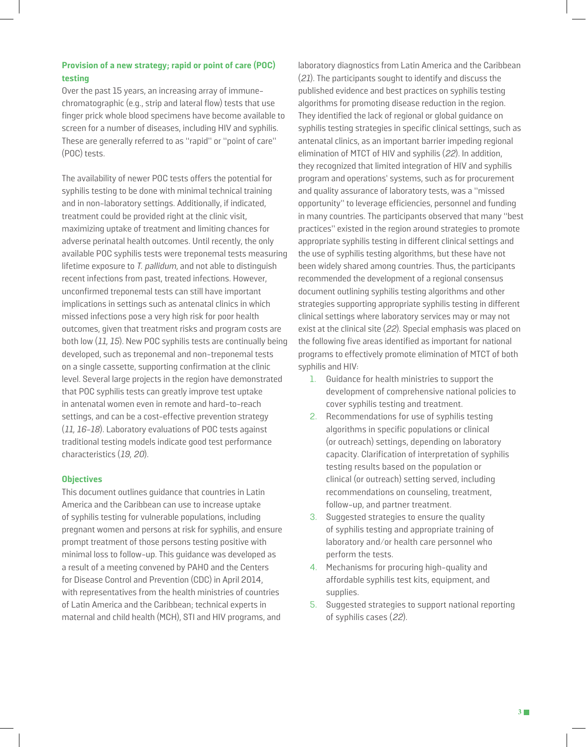#### **Provision of a new strategy; rapid or point of care (POC) testing**

Over the past 15 years, an increasing array of immunechromatographic (e.g., strip and lateral flow) tests that use finger prick whole blood specimens have become available to screen for a number of diseases, including HIV and syphilis. These are generally referred to as "rapid" or "point of care" (POC) tests.

The availability of newer POC tests offers the potential for syphilis testing to be done with minimal technical training and in non-laboratory settings. Additionally, if indicated, treatment could be provided right at the clinic visit, maximizing uptake of treatment and limiting chances for adverse perinatal health outcomes. Until recently, the only available POC syphilis tests were treponemal tests measuring lifetime exposure to T. pallidum, and not able to distinguish recent infections from past, treated infections. However, unconfirmed treponemal tests can still have important implications in settings such as antenatal clinics in which missed infections pose a very high risk for poor health outcomes, given that treatment risks and program costs are both low (11, 15). New POC syphilis tests are continually being developed, such as treponemal and non-treponemal tests on a single cassette, supporting confirmation at the clinic level. Several large projects in the region have demonstrated that POC syphilis tests can greatly improve test uptake in antenatal women even in remote and hard-to-reach settings, and can be a cost-effective prevention strategy (11, 16-18). Laboratory evaluations of POC tests against traditional testing models indicate good test performance characteristics (19, 20).

#### **Objectives**

This document outlines guidance that countries in Latin America and the Caribbean can use to increase uptake of syphilis testing for vulnerable populations, including pregnant women and persons at risk for syphilis, and ensure prompt treatment of those persons testing positive with minimal loss to follow-up. This guidance was developed as a result of a meeting convened by PAHO and the Centers for Disease Control and Prevention (CDC) in April 2014, with representatives from the health ministries of countries of Latin America and the Caribbean; technical experts in maternal and child health (MCH), STI and HIV programs, and

laboratory diagnostics from Latin America and the Caribbean (21). The participants sought to identify and discuss the published evidence and best practices on syphilis testing algorithms for promoting disease reduction in the region. They identified the lack of regional or global guidance on syphilis testing strategies in specific clinical settings, such as antenatal clinics, as an important barrier impeding regional elimination of MTCT of HIV and syphilis (22). In addition, they recognized that limited integration of HIV and syphilis program and operations' systems, such as for procurement and quality assurance of laboratory tests, was a "missed opportunity" to leverage efficiencies, personnel and funding in many countries. The participants observed that many "best practices" existed in the region around strategies to promote appropriate syphilis testing in different clinical settings and the use of syphilis testing algorithms, but these have not been widely shared among countries. Thus, the participants recommended the development of a regional consensus document outlining syphilis testing algorithms and other strategies supporting appropriate syphilis testing in different clinical settings where laboratory services may or may not exist at the clinical site (22). Special emphasis was placed on the following five areas identified as important for national programs to effectively promote elimination of MTCT of both syphilis and HIV:

- 1. Guidance for health ministries to support the development of comprehensive national policies to cover syphilis testing and treatment.
- 2. Recommendations for use of syphilis testing algorithms in specific populations or clinical (or outreach) settings, depending on laboratory capacity. Clarification of interpretation of syphilis testing results based on the population or clinical (or outreach) setting served, including recommendations on counseling, treatment, follow-up, and partner treatment.
- 3. Suggested strategies to ensure the quality of syphilis testing and appropriate training of laboratory and/or health care personnel who perform the tests.
- 4. Mechanisms for procuring high-quality and affordable syphilis test kits, equipment, and supplies.
- 5. Suggested strategies to support national reporting of syphilis cases (22).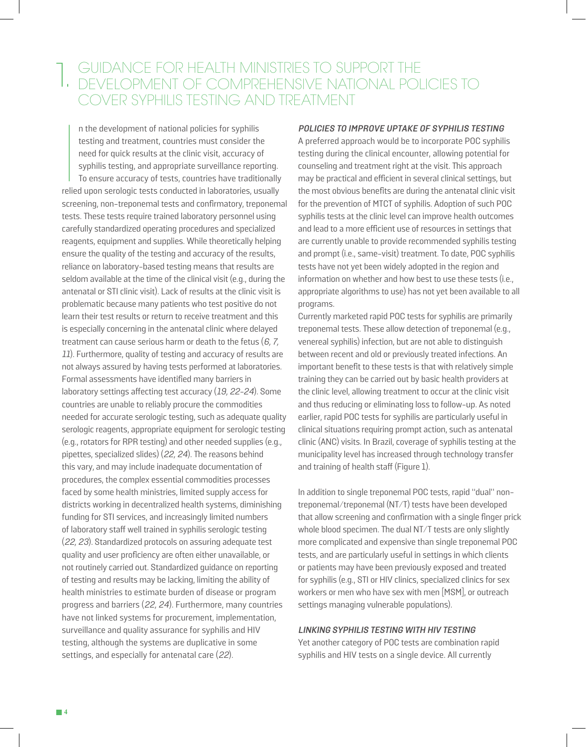### GUIDANCE FOR HEALTH MINISTRIES TO SUPPORT THE THE GUIDANCE FOR HEALTH MINISTRIES TO SUPPORT THE DEVELOPMENT OF COMPREHENSIVE NATIONAL POLICIES TO COVER SYPHILIS TESTING AND TREATMENT

 $\begin{array}{c} \hline \text{rel} \\ \text{relie} \end{array}$ n the development of national policies for syphilis testing and treatment, countries must consider the need for quick results at the clinic visit, accuracy of syphilis testing, and appropriate surveillance reporting. To ensure accuracy of tests, countries have traditionally relied upon serologic tests conducted in laboratories, usually screening, non-treponemal tests and confirmatory, treponemal tests. These tests require trained laboratory personnel using carefully standardized operating procedures and specialized reagents, equipment and supplies. While theoretically helping ensure the quality of the testing and accuracy of the results, reliance on laboratory-based testing means that results are seldom available at the time of the clinical visit (e.g., during the antenatal or STI clinic visit). Lack of results at the clinic visit is problematic because many patients who test positive do not learn their test results or return to receive treatment and this is especially concerning in the antenatal clinic where delayed treatment can cause serious harm or death to the fetus (6, 7, 11). Furthermore, quality of testing and accuracy of results are not always assured by having tests performed at laboratories. Formal assessments have identified many barriers in laboratory settings affecting test accuracy (19, 22-24). Some countries are unable to reliably procure the commodities needed for accurate serologic testing, such as adequate quality serologic reagents, appropriate equipment for serologic testing (e.g., rotators for RPR testing) and other needed supplies (e.g., pipettes, specialized slides) (22, 24). The reasons behind this vary, and may include inadequate documentation of procedures, the complex essential commodities processes faced by some health ministries, limited supply access for districts working in decentralized health systems, diminishing funding for STI services, and increasingly limited numbers of laboratory staff well trained in syphilis serologic testing (22, 23). Standardized protocols on assuring adequate test quality and user proficiency are often either unavailable, or not routinely carried out. Standardized guidance on reporting of testing and results may be lacking, limiting the ability of health ministries to estimate burden of disease or program progress and barriers (22, 24). Furthermore, many countries have not linked systems for procurement, implementation, surveillance and quality assurance for syphilis and HIV testing, although the systems are duplicative in some settings, and especially for antenatal care (22).

#### **POLICIES TO IMPROVE UPTAKE OF SYPHILIS TESTING**

A preferred approach would be to incorporate POC syphilis testing during the clinical encounter, allowing potential for counseling and treatment right at the visit. This approach may be practical and efficient in several clinical settings, but the most obvious benefits are during the antenatal clinic visit for the prevention of MTCT of syphilis. Adoption of such POC syphilis tests at the clinic level can improve health outcomes and lead to a more efficient use of resources in settings that are currently unable to provide recommended syphilis testing and prompt (i.e., same-visit) treatment. To date, POC syphilis tests have not yet been widely adopted in the region and information on whether and how best to use these tests (i.e., appropriate algorithms to use) has not yet been available to all programs.

Currently marketed rapid POC tests for syphilis are primarily treponemal tests. These allow detection of treponemal (e.g., venereal syphilis) infection, but are not able to distinguish between recent and old or previously treated infections. An important benefit to these tests is that with relatively simple training they can be carried out by basic health providers at the clinic level, allowing treatment to occur at the clinic visit and thus reducing or eliminating loss to follow-up. As noted earlier, rapid POC tests for syphilis are particularly useful in clinical situations requiring prompt action, such as antenatal clinic (ANC) visits. In Brazil, coverage of syphilis testing at the municipality level has increased through technology transfer and training of health staff (Figure 1).

In addition to single treponemal POC tests, rapid "dual" nontreponemal/treponemal (NT/T) tests have been developed that allow screening and confirmation with a single finger prick whole blood specimen. The dual NT/T tests are only slightly more complicated and expensive than single treponemal POC tests, and are particularly useful in settings in which clients or patients may have been previously exposed and treated for syphilis (e.g., STI or HIV clinics, specialized clinics for sex workers or men who have sex with men [MSM], or outreach settings managing vulnerable populations).

#### **LINKING SYPHILIS TESTING WITH HIV TESTING**

Yet another category of POC tests are combination rapid syphilis and HIV tests on a single device. All currently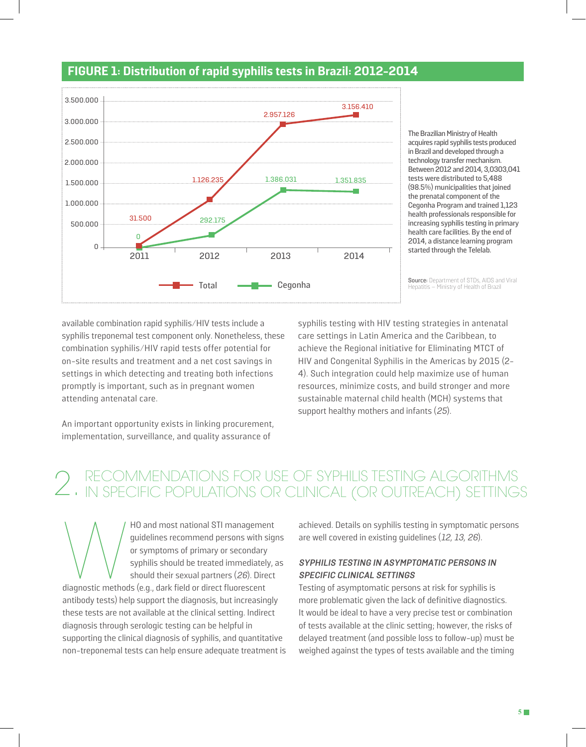

### **FIGURE 1: Distribution of rapid syphilis tests in Brazil: 2012-2014**

The Brazilian Ministry of Health acquires rapid syphilis tests produced in Brazil and developed through a technology transfer mechanism. Between 2012 and 2014, 3,0303,041 tests were distributed to 5,488 (98.5%) municipalities that joined the prenatal component of the Cegonha Program and trained 1,123 health professionals responsible for increasing syphilis testing in primary health care facilities. By the end of 2014, a distance learning program started through the Telelab.

**Source:** Department of STDs, AIDS and Viral<br>Hepatitis – Ministry of Health of Brazil

available combination rapid syphilis/HIV tests include a syphilis treponemal test component only. Nonetheless, these combination syphilis/HIV rapid tests offer potential for on-site results and treatment and a net cost savings in settings in which detecting and treating both infections promptly is important, such as in pregnant women attending antenatal care.

syphilis testing with HIV testing strategies in antenatal care settings in Latin America and the Caribbean, to achieve the Regional initiative for Eliminating MTCT of HIV and Congenital Syphilis in the Americas by 2015 (2- 4). Such integration could help maximize use of human resources, minimize costs, and build stronger and more sustainable maternal child health (MCH) systems that support healthy mothers and infants (25).

An important opportunity exists in linking procurement, implementation, surveillance, and quality assurance of

# RECOMMENDATIONS FOR USE OF SYPHILIS TESTING ALGORITHMS<br>2. IN SPECIFIC POPULATIONS OR CLINICAL (OR OUTREACH) SETTINGS

HO and most national STI management<br>guidelines recommend persons with sig<br>or symptoms of primary or secondary<br>syphilis should be treated immediately,<br>should their sexual partners (26). Direct<br>diagnostic methods (e.g., dark guidelines recommend persons with signs or symptoms of primary or secondary syphilis should be treated immediately, as should their sexual partners (26). Direct antibody tests) help support the diagnosis, but increasingly these tests are not available at the clinical setting. Indirect diagnosis through serologic testing can be helpful in supporting the clinical diagnosis of syphilis, and quantitative non-treponemal tests can help ensure adequate treatment is

achieved. Details on syphilis testing in symptomatic persons are well covered in existing guidelines (12, 13, 26).

#### **SYPHILIS TESTING IN ASYMPTOMATIC PERSONS IN SPECIFIC CLINICAL SETTINGS**

Testing of asymptomatic persons at risk for syphilis is more problematic given the lack of definitive diagnostics. It would be ideal to have a very precise test or combination of tests available at the clinic setting; however, the risks of delayed treatment (and possible loss to follow-up) must be weighed against the types of tests available and the timing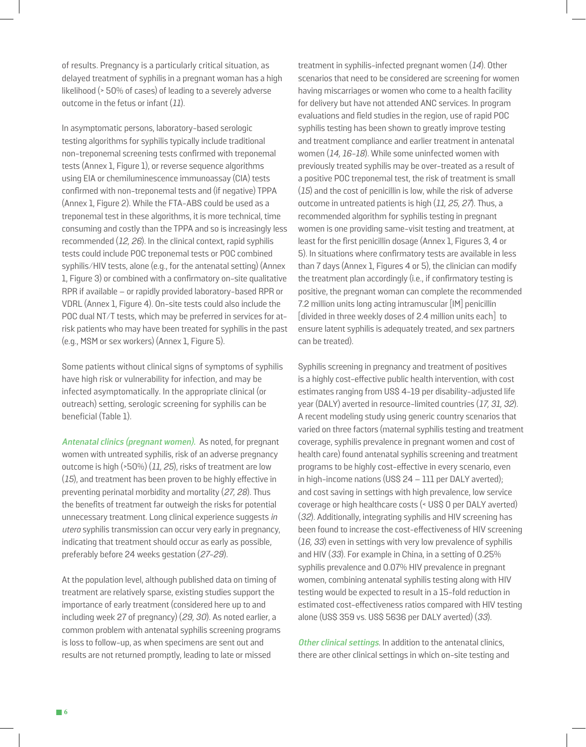of results. Pregnancy is a particularly critical situation, as delayed treatment of syphilis in a pregnant woman has a high likelihood (> 50% of cases) of leading to a severely adverse outcome in the fetus or infant (11).

In asymptomatic persons, laboratory-based serologic testing algorithms for syphilis typically include traditional non-treponemal screening tests confirmed with treponemal tests (Annex 1, Figure 1), or reverse sequence algorithms using EIA or chemiluminescence immunoassay (CIA) tests confirmed with non-treponemal tests and (if negative) TPPA (Annex 1, Figure 2). While the FTA-ABS could be used as a treponemal test in these algorithms, it is more technical, time consuming and costly than the TPPA and so is increasingly less recommended (12, 26). In the clinical context, rapid syphilis tests could include POC treponemal tests or POC combined syphilis/HIV tests, alone (e.g., for the antenatal setting) (Annex 1, Figure 3) or combined with a confirmatory on-site qualitative RPR if available – or rapidly provided laboratory-based RPR or VDRL (Annex 1, Figure 4). On-site tests could also include the POC dual NT/T tests, which may be preferred in services for atrisk patients who may have been treated for syphilis in the past (e.g., MSM or sex workers) (Annex 1, Figure 5).

Some patients without clinical signs of symptoms of syphilis have high risk or vulnerability for infection, and may be infected asymptomatically. In the appropriate clinical (or outreach) setting, serologic screening for syphilis can be beneficial (Table 1).

**Antenatal clinics (pregnant women).** As noted, for pregnant women with untreated syphilis, risk of an adverse pregnancy outcome is high (>50%) (11, 25), risks of treatment are low (15), and treatment has been proven to be highly effective in preventing perinatal morbidity and mortality (27, 28). Thus the benefits of treatment far outweigh the risks for potential unnecessary treatment. Long clinical experience suggests in utero syphilis transmission can occur very early in pregnancy, indicating that treatment should occur as early as possible, preferably before 24 weeks gestation (27-29).

At the population level, although published data on timing of treatment are relatively sparse, existing studies support the importance of early treatment (considered here up to and including week 27 of pregnancy) (29, 30). As noted earlier, a common problem with antenatal syphilis screening programs is loss to follow-up, as when specimens are sent out and results are not returned promptly, leading to late or missed

treatment in syphilis-infected pregnant women (14). Other scenarios that need to be considered are screening for women having miscarriages or women who come to a health facility for delivery but have not attended ANC services. In program evaluations and field studies in the region, use of rapid POC syphilis testing has been shown to greatly improve testing and treatment compliance and earlier treatment in antenatal women (14, 16-18). While some uninfected women with previously treated syphilis may be over-treated as a result of a positive POC treponemal test, the risk of treatment is small (15) and the cost of penicillin is low, while the risk of adverse outcome in untreated patients is high (11, 25, 27). Thus, a recommended algorithm for syphilis testing in pregnant women is one providing same-visit testing and treatment, at least for the first penicillin dosage (Annex 1, Figures 3, 4 or 5). In situations where confirmatory tests are available in less than 7 days (Annex 1, Figures 4 or 5), the clinician can modify the treatment plan accordingly (i.e., if confirmatory testing is positive, the pregnant woman can complete the recommended 7.2 million units long acting intramuscular [IM] penicillin [divided in three weekly doses of 2.4 million units each] to ensure latent syphilis is adequately treated, and sex partners can be treated).

Syphilis screening in pregnancy and treatment of positives is a highly cost-effective public health intervention, with cost estimates ranging from US\$ 4-19 per disability-adjusted life year (DALY) averted in resource-limited countries (17, 31, 32). A recent modeling study using generic country scenarios that varied on three factors (maternal syphilis testing and treatment coverage, syphilis prevalence in pregnant women and cost of health care) found antenatal syphilis screening and treatment programs to be highly cost-effective in every scenario, even in high-income nations (US\$ 24 – 111 per DALY averted); and cost saving in settings with high prevalence, low service coverage or high healthcare costs (< US\$ 0 per DALY averted) (32). Additionally, integrating syphilis and HIV screening has been found to increase the cost-effectiveness of HIV screening (16, 33) even in settings with very low prevalence of syphilis and HIV (33). For example in China, in a setting of 0.25% syphilis prevalence and 0.07% HIV prevalence in pregnant women, combining antenatal syphilis testing along with HIV testing would be expected to result in a 15-fold reduction in estimated cost-effectiveness ratios compared with HIV testing alone (US\$ 359 vs. US\$ 5636 per DALY averted) (33).

**Other clinical settings**. In addition to the antenatal clinics, there are other clinical settings in which on-site testing and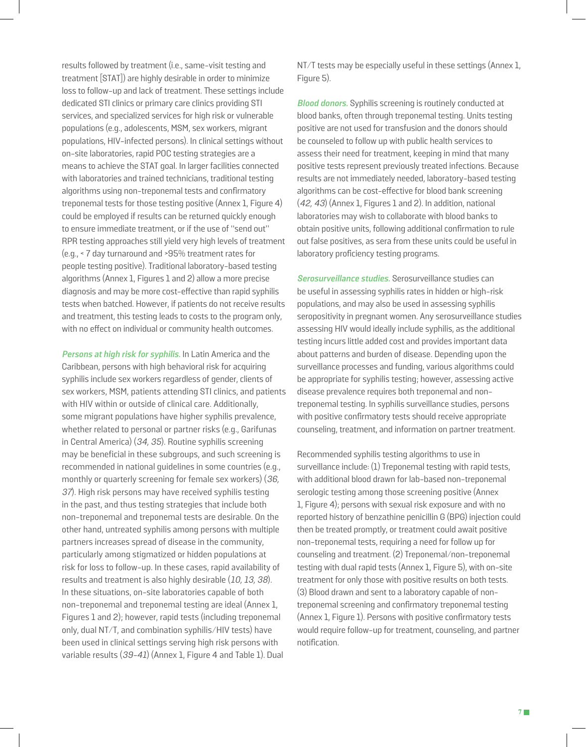results followed by treatment (i.e., same-visit testing and treatment [STAT]) are highly desirable in order to minimize loss to follow-up and lack of treatment. These settings include dedicated STI clinics or primary care clinics providing STI services, and specialized services for high risk or vulnerable populations (e.g., adolescents, MSM, sex workers, migrant populations, HIV-infected persons). In clinical settings without on-site laboratories, rapid POC testing strategies are a means to achieve the STAT goal. In larger facilities connected with laboratories and trained technicians, traditional testing algorithms using non-treponemal tests and confirmatory treponemal tests for those testing positive (Annex 1, Figure 4) could be employed if results can be returned quickly enough to ensure immediate treatment, or if the use of "send out" RPR testing approaches still yield very high levels of treatment (e.g., < 7 day turnaround and >95% treatment rates for people testing positive). Traditional laboratory-based testing algorithms (Annex 1, Figures 1 and 2) allow a more precise diagnosis and may be more cost-effective than rapid syphilis tests when batched. However, if patients do not receive results and treatment, this testing leads to costs to the program only, with no effect on individual or community health outcomes.

**Persons at high risk for syphilis.** In Latin America and the Caribbean, persons with high behavioral risk for acquiring syphilis include sex workers regardless of gender, clients of sex workers, MSM, patients attending STI clinics, and patients with HIV within or outside of clinical care. Additionally, some migrant populations have higher syphilis prevalence, whether related to personal or partner risks (e.g., Garifunas in Central America) (34, 35). Routine syphilis screening may be beneficial in these subgroups, and such screening is recommended in national guidelines in some countries (e.g., monthly or quarterly screening for female sex workers) (36, 37). High risk persons may have received syphilis testing in the past, and thus testing strategies that include both non-treponemal and treponemal tests are desirable. On the other hand, untreated syphilis among persons with multiple partners increases spread of disease in the community, particularly among stigmatized or hidden populations at risk for loss to follow-up. In these cases, rapid availability of results and treatment is also highly desirable (10, 13, 38). In these situations, on-site laboratories capable of both non-treponemal and treponemal testing are ideal (Annex 1, Figures 1 and 2); however, rapid tests (including treponemal only, dual NT/T, and combination syphilis/HIV tests) have been used in clinical settings serving high risk persons with variable results (39-41) (Annex 1, Figure 4 and Table 1). Dual

NT/T tests may be especially useful in these settings (Annex 1, Figure 5).

**Blood donors.** Syphilis screening is routinely conducted at blood banks, often through treponemal testing. Units testing positive are not used for transfusion and the donors should be counseled to follow up with public health services to assess their need for treatment, keeping in mind that many positive tests represent previously treated infections. Because results are not immediately needed, laboratory-based testing algorithms can be cost-effective for blood bank screening (42, 43) (Annex 1, Figures 1 and 2). In addition, national laboratories may wish to collaborate with blood banks to obtain positive units, following additional confirmation to rule out false positives, as sera from these units could be useful in laboratory proficiency testing programs.

**Serosurveillance studies.** Serosurveillance studies can be useful in assessing syphilis rates in hidden or high-risk populations, and may also be used in assessing syphilis seropositivity in pregnant women. Any serosurveillance studies assessing HIV would ideally include syphilis, as the additional testing incurs little added cost and provides important data about patterns and burden of disease. Depending upon the surveillance processes and funding, various algorithms could be appropriate for syphilis testing; however, assessing active disease prevalence requires both treponemal and nontreponemal testing. In syphilis surveillance studies, persons with positive confirmatory tests should receive appropriate counseling, treatment, and information on partner treatment.

Recommended syphilis testing algorithms to use in surveillance include: (1) Treponemal testing with rapid tests, with additional blood drawn for lab-based non-treponemal serologic testing among those screening positive (Annex 1, Figure 4); persons with sexual risk exposure and with no reported history of benzathine penicillin G (BPG) injection could then be treated promptly, or treatment could await positive non-treponemal tests, requiring a need for follow up for counseling and treatment. (2) Treponemal/non-treponemal testing with dual rapid tests (Annex 1, Figure 5), with on-site treatment for only those with positive results on both tests. (3) Blood drawn and sent to a laboratory capable of nontreponemal screening and confirmatory treponemal testing (Annex 1, Figure 1). Persons with positive confirmatory tests would require follow-up for treatment, counseling, and partner notification.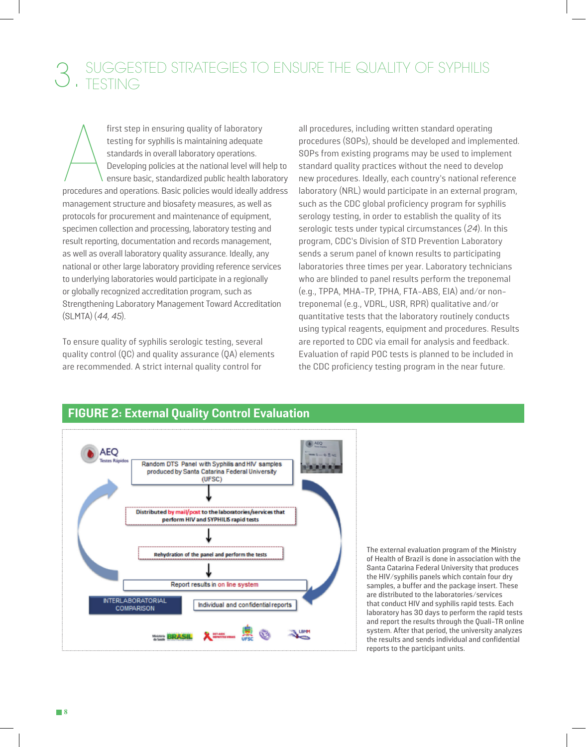# SUGGESTED STRATEGIES TO ENSURE THE QUALITY OF SYPHILIS

first step in ensuring quality of laboratory<br>testing for syphilis is maintaining adequate<br>standards in overall laboratory operations.<br>Developing policies at the national level will help to<br>ensure basic, standardized public first step in ensuring quality of laboratory testing for syphilis is maintaining adequate standards in overall laboratory operations. Developing policies at the national level will help to ensure basic, standardized public health laboratory management structure and biosafety measures, as well as protocols for procurement and maintenance of equipment, specimen collection and processing, laboratory testing and result reporting, documentation and records management, as well as overall laboratory quality assurance. Ideally, any national or other large laboratory providing reference services to underlying laboratories would participate in a regionally or globally recognized accreditation program, such as Strengthening Laboratory Management Toward Accreditation (SLMTA) (44, 45).

To ensure quality of syphilis serologic testing, several quality control (QC) and quality assurance (QA) elements are recommended. A strict internal quality control for

all procedures, including written standard operating procedures (SOPs), should be developed and implemented. SOPs from existing programs may be used to implement standard quality practices without the need to develop new procedures. Ideally, each country's national reference laboratory (NRL) would participate in an external program, such as the CDC global proficiency program for syphilis serology testing, in order to establish the quality of its serologic tests under typical circumstances (24). In this program, CDC's Division of STD Prevention Laboratory sends a serum panel of known results to participating laboratories three times per year. Laboratory technicians who are blinded to panel results perform the treponemal (e.g., TPPA, MHA-TP, TPHA, FTA-ABS, EIA) and/or nontreponemal (e.g., VDRL, USR, RPR) qualitative and/or quantitative tests that the laboratory routinely conducts using typical reagents, equipment and procedures. Results are reported to CDC via email for analysis and feedback. Evaluation of rapid POC tests is planned to be included in the CDC proficiency testing program in the near future.



### **FIGURE 2: External Quality Control Evaluation**

The external evaluation program of the Ministry of Health of Brazil is done in association with the Santa Catarina Federal University that produces the HIV/syphilis panels which contain four dry samples, a buffer and the package insert. These are distributed to the laboratories/services that conduct HIV and syphilis rapid tests. Each laboratory has 30 days to perform the rapid tests and report the results through the Quali-TR online system. After that period, the university analyzes the results and sends individual and confidential reports to the participant units.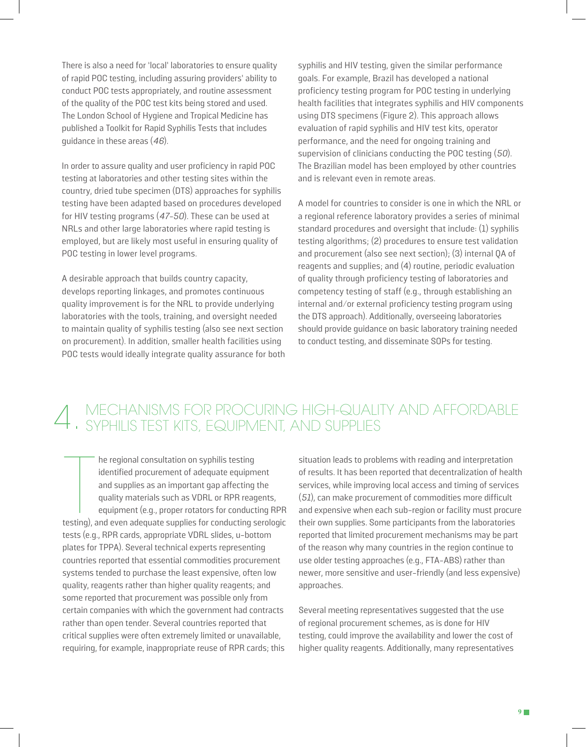There is also a need for 'local' laboratories to ensure quality of rapid POC testing, including assuring providers' ability to conduct POC tests appropriately, and routine assessment of the quality of the POC test kits being stored and used. The London School of Hygiene and Tropical Medicine has published a Toolkit for Rapid Syphilis Tests that includes guidance in these areas (46).

In order to assure quality and user proficiency in rapid POC testing at laboratories and other testing sites within the country, dried tube specimen (DTS) approaches for syphilis testing have been adapted based on procedures developed for HIV testing programs (47-50). These can be used at NRLs and other large laboratories where rapid testing is employed, but are likely most useful in ensuring quality of POC testing in lower level programs.

A desirable approach that builds country capacity, develops reporting linkages, and promotes continuous quality improvement is for the NRL to provide underlying laboratories with the tools, training, and oversight needed to maintain quality of syphilis testing (also see next section on procurement). In addition, smaller health facilities using POC tests would ideally integrate quality assurance for both

syphilis and HIV testing, given the similar performance goals. For example, Brazil has developed a national proficiency testing program for POC testing in underlying health facilities that integrates syphilis and HIV components using DTS specimens (Figure 2). This approach allows evaluation of rapid syphilis and HIV test kits, operator performance, and the need for ongoing training and supervision of clinicians conducting the POC testing  $(50)$ . The Brazilian model has been employed by other countries and is relevant even in remote areas.

A model for countries to consider is one in which the NRL or a regional reference laboratory provides a series of minimal standard procedures and oversight that include: (1) syphilis testing algorithms; (2) procedures to ensure test validation and procurement (also see next section); (3) internal QA of reagents and supplies; and (4) routine, periodic evaluation of quality through proficiency testing of laboratories and competency testing of staff (e.g., through establishing an internal and/or external proficiency testing program using the DTS approach). Additionally, overseeing laboratories should provide guidance on basic laboratory training needed to conduct testing, and disseminate SOPs for testing.

# MECHANISMS FOR PROCURING HIGH-QUALITY AND AFFORDABLE 4. SYPHILIS TEST KITS, EQUIPMENT, AND SUPPLIES

The regional consultation on syphilis testing<br>
identified procurement of adequate equipment<br>
and supplies as an important gap affecting the<br>
quality materials such as VDRL or RPR reagents,<br>
equipment (e.g., proper rotators he regional consultation on syphilis testing identified procurement of adequate equipment and supplies as an important gap affecting the quality materials such as VDRL or RPR reagents, equipment (e.g., proper rotators for conducting RPR tests (e.g., RPR cards, appropriate VDRL slides, u-bottom plates for TPPA). Several technical experts representing countries reported that essential commodities procurement systems tended to purchase the least expensive, often low quality, reagents rather than higher quality reagents; and some reported that procurement was possible only from certain companies with which the government had contracts rather than open tender. Several countries reported that critical supplies were often extremely limited or unavailable, requiring, for example, inappropriate reuse of RPR cards; this

situation leads to problems with reading and interpretation of results. It has been reported that decentralization of health services, while improving local access and timing of services (51), can make procurement of commodities more difficult and expensive when each sub-region or facility must procure their own supplies. Some participants from the laboratories reported that limited procurement mechanisms may be part of the reason why many countries in the region continue to use older testing approaches (e.g., FTA-ABS) rather than newer, more sensitive and user-friendly (and less expensive) approaches.

Several meeting representatives suggested that the use of regional procurement schemes, as is done for HIV testing, could improve the availability and lower the cost of higher quality reagents. Additionally, many representatives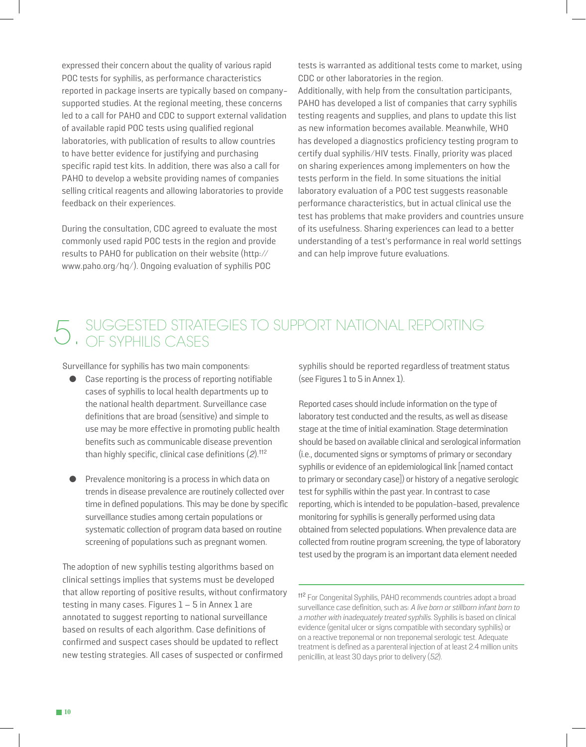expressed their concern about the quality of various rapid POC tests for syphilis, as performance characteristics reported in package inserts are typically based on companysupported studies. At the regional meeting, these concerns led to a call for PAHO and CDC to support external validation of available rapid POC tests using qualified regional laboratories, with publication of results to allow countries to have better evidence for justifying and purchasing specific rapid test kits. In addition, there was also a call for PAHO to develop a website providing names of companies selling critical reagents and allowing laboratories to provide feedback on their experiences.

During the consultation, CDC agreed to evaluate the most commonly used rapid POC tests in the region and provide results to PAHO for publication on their website (http:// www.paho.org/hq/). Ongoing evaluation of syphilis POC

tests is warranted as additional tests come to market, using CDC or other laboratories in the region.

Additionally, with help from the consultation participants, PAHO has developed a list of companies that carry syphilis testing reagents and supplies, and plans to update this list as new information becomes available. Meanwhile, WHO has developed a diagnostics proficiency testing program to certify dual syphilis/HIV tests. Finally, priority was placed on sharing experiences among implementers on how the tests perform in the field. In some situations the initial laboratory evaluation of a POC test suggests reasonable performance characteristics, but in actual clinical use the test has problems that make providers and countries unsure of its usefulness. Sharing experiences can lead to a better understanding of a test's performance in real world settings and can help improve future evaluations.

# 5. SUGGESTED STRATEGIES TO SUPPORT NATIONAL REPORTING

Surveillance for syphilis has two main components:

- Case reporting is the process of reporting notifiable cases of syphilis to local health departments up to the national health department. Surveillance case definitions that are broad (sensitive) and simple to use may be more effective in promoting public health benefits such as communicable disease prevention than highly specific, clinical case definitions  $(2)$ .<sup>tt2</sup>
- Prevalence monitoring is a process in which data on trends in disease prevalence are routinely collected over time in defined populations. This may be done by specific surveillance studies among certain populations or systematic collection of program data based on routine screening of populations such as pregnant women.

The adoption of new syphilis testing algorithms based on clinical settings implies that systems must be developed that allow reporting of positive results, without confirmatory testing in many cases. Figures  $1 - 5$  in Annex 1 are annotated to suggest reporting to national surveillance based on results of each algorithm. Case definitions of confirmed and suspect cases should be updated to reflect new testing strategies. All cases of suspected or confirmed

syphilis should be reported regardless of treatment status (see Figures 1 to 5 in Annex 1).

Reported cases should include information on the type of laboratory test conducted and the results, as well as disease stage at the time of initial examination. Stage determination should be based on available clinical and serological information (i.e., documented signs or symptoms of primary or secondary syphilis or evidence of an epidemiological link [named contact to primary or secondary case]) or history of a negative serologic test for syphilis within the past year. In contrast to case reporting, which is intended to be population-based, prevalence monitoring for syphilis is generally performed using data obtained from selected populations. When prevalence data are collected from routine program screening, the type of laboratory test used by the program is an important data element needed

<sup>&</sup>lt;sup>112</sup> For Congenital Syphilis, PAHO recommends countries adopt a broad surveillance case definition, such as: A live born or stillborn infant born to a mother with inadequately treated syphilis. Syphilis is based on clinical evidence (genital ulcer or signs compatible with secondary syphilis) or on a reactive treponemal or non treponemal serologic test. Adequate treatment is defined as a parenteral injection of at least 2.4 million units penicillin, at least 30 days prior to delivery (52).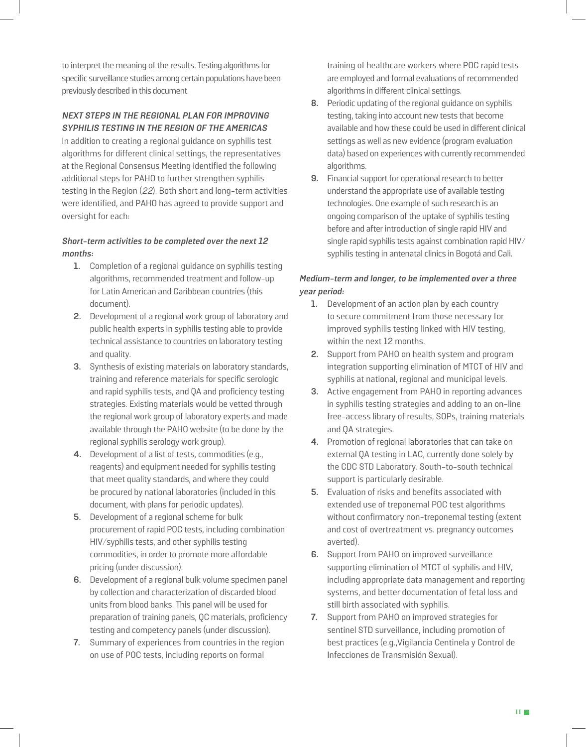to interpret the meaning of the results. Testing algorithms for specific surveillance studies among certain populations have been previously described in this document.

#### **NEXT STEPS IN THE REGIONAL PLAN FOR IMPROVING SYPHILIS TESTING IN THE REGION OF THE AMERICAS**

In addition to creating a regional guidance on syphilis test algorithms for different clinical settings, the representatives at the Regional Consensus Meeting identified the following additional steps for PAHO to further strengthen syphilis testing in the Region (22). Both short and long-term activities were identified, and PAHO has agreed to provide support and oversight for each:

#### **Short-term activities to be completed over the next 12 months:**

- **1.** Completion of a regional guidance on syphilis testing algorithms, recommended treatment and follow-up for Latin American and Caribbean countries (this document).
- **2.** Development of a regional work group of laboratory and public health experts in syphilis testing able to provide technical assistance to countries on laboratory testing and quality.
- **3.** Synthesis of existing materials on laboratory standards, training and reference materials for specific serologic and rapid syphilis tests, and QA and proficiency testing strategies. Existing materials would be vetted through the regional work group of laboratory experts and made available through the PAHO website (to be done by the regional syphilis serology work group).
- **4.** Development of a list of tests, commodities (e.g., reagents) and equipment needed for syphilis testing that meet quality standards, and where they could be procured by national laboratories (included in this document, with plans for periodic updates).
- **5.** Development of a regional scheme for bulk procurement of rapid POC tests, including combination HIV/syphilis tests, and other syphilis testing commodities, in order to promote more affordable pricing (under discussion).
- **6.** Development of a regional bulk volume specimen panel by collection and characterization of discarded blood units from blood banks. This panel will be used for preparation of training panels, QC materials, proficiency testing and competency panels (under discussion).
- **7.** Summary of experiences from countries in the region on use of POC tests, including reports on formal

training of healthcare workers where POC rapid tests are employed and formal evaluations of recommended algorithms in different clinical settings.

- **8.** Periodic updating of the regional guidance on syphilis testing, taking into account new tests that become available and how these could be used in different clinical settings as well as new evidence (program evaluation data) based on experiences with currently recommended algorithms.
- **9.** Financial support for operational research to better understand the appropriate use of available testing technologies. One example of such research is an ongoing comparison of the uptake of syphilis testing before and after introduction of single rapid HIV and single rapid syphilis tests against combination rapid HIV/ syphilis testing in antenatal clinics in Bogotá and Cali.

#### **Medium-term and longer, to be implemented over a three year period:**

- **1.** Development of an action plan by each country to secure commitment from those necessary for improved syphilis testing linked with HIV testing, within the next 12 months.
- **2.** Support from PAHO on health system and program integration supporting elimination of MTCT of HIV and syphilis at national, regional and municipal levels.
- **3.** Active engagement from PAHO in reporting advances in syphilis testing strategies and adding to an on-line free-access library of results, SOPs, training materials and QA strategies.
- **4.** Promotion of regional laboratories that can take on external QA testing in LAC, currently done solely by the CDC STD Laboratory. South-to-south technical support is particularly desirable.
- **5.** Evaluation of risks and benefits associated with extended use of treponemal POC test algorithms without confirmatory non-treponemal testing (extent and cost of overtreatment vs. pregnancy outcomes averted).
- **6.** Support from PAHO on improved surveillance supporting elimination of MTCT of syphilis and HIV, including appropriate data management and reporting systems, and better documentation of fetal loss and still birth associated with syphilis.
- **7.** Support from PAHO on improved strategies for sentinel STD surveillance, including promotion of best practices (e.g.,Vigilancia Centinela y Control de Infecciones de Transmisión Sexual).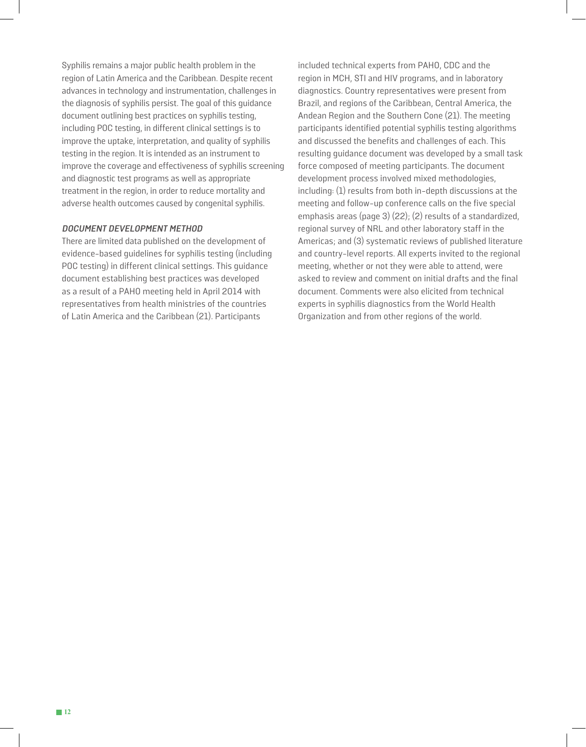Syphilis remains a major public health problem in the region of Latin America and the Caribbean. Despite recent advances in technology and instrumentation, challenges in the diagnosis of syphilis persist. The goal of this guidance document outlining best practices on syphilis testing, including POC testing, in different clinical settings is to improve the uptake, interpretation, and quality of syphilis testing in the region. It is intended as an instrument to improve the coverage and effectiveness of syphilis screening and diagnostic test programs as well as appropriate treatment in the region, in order to reduce mortality and adverse health outcomes caused by congenital syphilis.

#### **DOCUMENT DEVELOPMENT METHOD**

There are limited data published on the development of evidence-based guidelines for syphilis testing (including POC testing) in different clinical settings. This guidance document establishing best practices was developed as a result of a PAHO meeting held in April 2014 with representatives from health ministries of the countries of Latin America and the Caribbean (21). Participants

included technical experts from PAHO, CDC and the region in MCH, STI and HIV programs, and in laboratory diagnostics. Country representatives were present from Brazil, and regions of the Caribbean, Central America, the Andean Region and the Southern Cone (21). The meeting participants identified potential syphilis testing algorithms and discussed the benefits and challenges of each. This resulting guidance document was developed by a small task force composed of meeting participants. The document development process involved mixed methodologies, including: (1) results from both in-depth discussions at the meeting and follow-up conference calls on the five special emphasis areas (page 3) (22); (2) results of a standardized, regional survey of NRL and other laboratory staff in the Americas; and (3) systematic reviews of published literature and country-level reports. All experts invited to the regional meeting, whether or not they were able to attend, were asked to review and comment on initial drafts and the final document. Comments were also elicited from technical experts in syphilis diagnostics from the World Health Organization and from other regions of the world.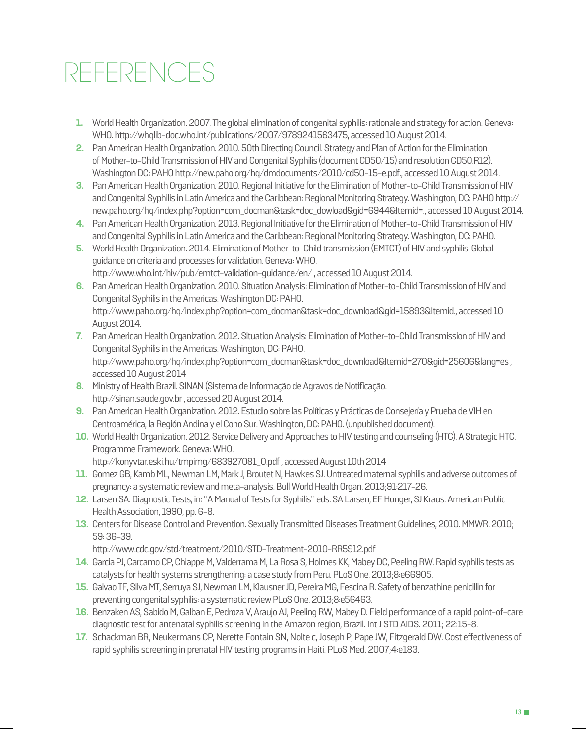# REFERENCES

- **1.** World Health Organization. 2007. The global elimination of congenital syphilis: rationale and strategy for action. Geneva: WHO. http://whqlib-doc.who.int/publications/2007/9789241563475, accessed 10 August 2014.
- **2.** Pan American Health Organization. 2010. 50th Directing Council. Strategy and Plan of Action for the Elimination of Mother-to-Child Transmission of HIV and Congenital Syphilis (document CD50/15) and resolution CD50.R12). Washington DC: PAHO http://new.paho.org/hq/dmdocuments/2010/cd50-15-e.pdf., accessed 10 August 2014.
- **3.** Pan American Health Organization. 2010. Regional Initiative for the Elimination of Mother-to-Child Transmission of HIV and Congenital Syphilis in Latin America and the Caribbean: Regional Monitoring Strategy. Washington, DC: PAHO http:// new.paho.org/hq/index.php?option=com\_docman&task=doc\_dowload&gid=6944&Itemid=., accessed 10 August 2014.
- **4.** Pan American Health Organization. 2013. Regional Initiative for the Elimination of Mother-to-Child Transmission of HIV and Congenital Syphilis in Latin America and the Caribbean: Regional Monitoring Strategy. Washington, DC: PAHO.
- **5.** World Health Organization. 2014. Elimination of Mother-to-Child transmission (EMTCT) of HIV and syphilis. Global guidance on criteria and processes for validation. Geneva: WHO. http://www.who.int/hiv/pub/emtct-validation-guidance/en/ , accessed 10 August 2014.
- **6.** Pan American Health Organization. 2010. Situation Analysis: Elimination of Mother-to-Child Transmission of HIV and Congenital Syphilis in the Americas. Washington DC: PAHO. http://www.paho.org/hq/index.php?option=com\_docman&task=doc\_download&gid=15893&Itemid., accessed 10 August 2014.
- **7.** Pan American Health Organization. 2012. Situation Analysis: Elimination of Mother-to-Child Transmission of HIV and Congenital Syphilis in the Americas. Washington, DC: PAHO. http://www.paho.org/hq/index.php?option=com\_docman&task=doc\_download&Itemid=270&gid=25606&lang=es , accessed 10 August 2014
- **8.** Ministry of Health Brazil. SINAN (Sistema de Informação de Agravos de Notificação. http://sinan.saude.gov.br , accessed 20 August 2014.
- **9.** Pan American Health Organization. 2012. Estudio sobre las Políticas y Prácticas de Consejería y Prueba de VIH en Centroamérica, la Región Andina y el Cono Sur. Washington, DC: PAHO. (unpublished document).
- **10.** World Health Organization. 2012. Service Delivery and Approaches to HIV testing and counseling (HTC). A Strategic HTC. Programme Framework. Geneva: WHO. http://konyvtar.eski.hu/tmpimg/683927081\_0.pdf , accessed August 10th 2014
- **11.** Gomez GB, Kamb ML, Newman LM, Mark J, Broutet N, Hawkes SJ. Untreated maternal syphilis and adverse outcomes of pregnancy: a systematic review and meta-analysis. Bull World Health Organ. 2013;91:217-26.
- **12.** Larsen SA. Diagnostic Tests, in: "A Manual of Tests for Syphilis" eds. SA Larsen, EF Hunger, SJ Kraus. American Public Health Association, 1990, pp. 6-8.
- **13.** Centers for Disease Control and Prevention. Sexually Transmitted Diseases Treatment Guidelines, 2010. MMWR. 2010; 59: 36-39.

http://www.cdc.gov/std/treatment/2010/STD-Treatment-2010-RR5912.pdf

- **14.** Garcia PJ, Carcamo CP, Chiappe M, Valderrama M, La Rosa S, Holmes KK, Mabey DC, Peeling RW. Rapid syphilis tests as catalysts for health systems strengthening: a case study from Peru. PLoS One. 2013;8:e66905.
- **15.** Galvao TF, Silva MT, Serruya SJ, Newman LM, Klausner JD, Pereira MG, Fescina R. Safety of benzathine penicillin for preventing congenital syphilis: a systematic review PLoS One. 2013;8:e56463.
- **16.** Benzaken AS, Sabido M, Galban E, Pedroza V, Araujo AJ, Peeling RW, Mabey D. Field performance of a rapid point-of-care diagnostic test for antenatal syphilis screening in the Amazon region, Brazil. Int J STD AIDS. 2011; 22:15-8.
- **17.** Schackman BR, Neukermans CP, Nerette Fontain SN, Nolte c, Joseph P, Pape JW, Fitzgerald DW. Cost effectiveness of rapid syphilis screening in prenatal HIV testing programs in Haiti. PLoS Med. 2007;4:e183.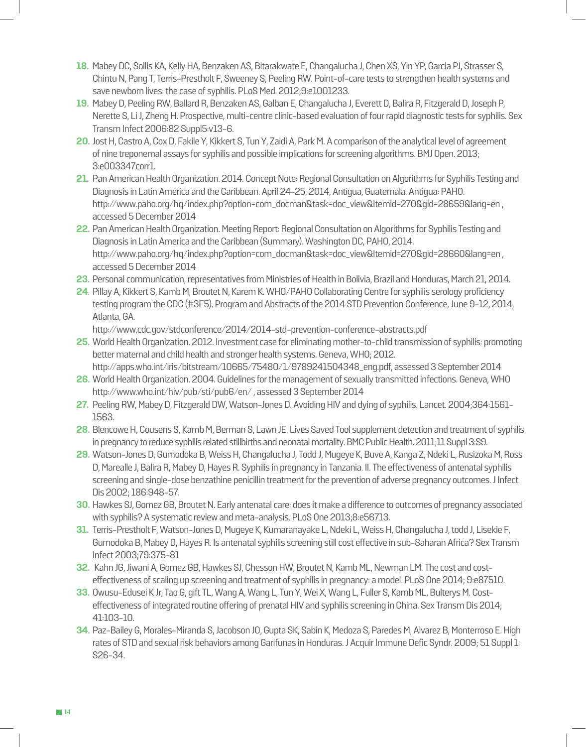- **18.** Mabey DC, Sollis KA, Kelly HA, Benzaken AS, Bitarakwate E, Changalucha J, Chen XS, Yin YP, Garcia PJ, Strasser S, Chintu N, Pang T, Terris-Prestholt F, Sweeney S, Peeling RW. Point-of-care tests to strengthen health systems and save newborn lives: the case of syphilis. PLoS Med. 2012;9:e1001233.
- **19.** Mabey D, Peeling RW, Ballard R, Benzaken AS, Galban E, Changalucha J, Everett D, Balira R, Fitzgerald D, Joseph P, Nerette S, Li J, Zheng H. Prospective, multi-centre clinic-based evaluation of four rapid diagnostic tests for syphilis. Sex Transm Infect 2006:82 Suppl5:v13-6.
- **20.** Jost H, Castro A, Cox D, Fakile Y, Kikkert S, Tun Y, Zaidi A, Park M. A comparison of the analytical level of agreement of nine treponemal assays for syphilis and possible implications for screening algorithms. BMJ Open. 2013; 3:e003347corr1.
- **21.** Pan American Health Organization. 2014. Concept Note: Regional Consultation on Algorithms for Syphilis Testing and Diagnosis in Latin America and the Caribbean. April 24-25, 2014, Antigua, Guatemala. Antigua: PAHO. http://www.paho.org/hq/index.php?option=com\_docman&task=doc\_view&Itemid=270&gid=28659&lang=en, accessed 5 December 2014
- **22.** Pan American Health Organization. Meeting Report: Regional Consultation on Algorithms for Syphilis Testing and Diagnosis in Latin America and the Caribbean (Summary). Washington DC, PAHO, 2014. http://www.paho.org/hq/index.php?option=com\_docman&task=doc\_view&Itemid=270&gid=28660&lang=en , accessed 5 December 2014
- **23.** Personal communication, representatives from Ministries of Health in Bolivia, Brazil and Honduras, March 21, 2014.
- **24**. Pillay A, Kikkert S, Kamb M, Broutet N, Karem K. WHO/PAHO Collaborating Centre for syphilis serology proficiency testing program the CDC (#3F5). Program and Abstracts of the 2014 STD Prevention Conference, June 9-12, 2014, Atlanta, GA.

http://www.cdc.gov/stdconference/2014/2014-std-prevention-conference-abstracts.pdf

- **25.** World Health Organization. 2012. Investment case for eliminating mother-to-child transmission of syphilis: promoting better maternal and child health and stronger health systems. Geneva, WHO; 2012. http://apps.who.int/iris/bitstream/10665/75480/1/9789241504348\_eng.pdf, assessed 3 September 2014
- **26.** World Health Organization. 2004. Guidelines for the management of sexually transmitted infections. Geneva, WHO http://www.who.int/hiv/pub/sti/pub6/en/ , assessed 3 September 2014
- **27.** Peeling RW, Mabey D, Fitzgerald DW, Watson-Jones D. Avoiding HIV and dying of syphilis. Lancet. 2004;364:1561- 1563.
- **28.** Blencowe H, Cousens S, Kamb M, Berman S, Lawn JE. Lives Saved Tool supplement detection and treatment of syphilis in pregnancy to reduce syphilis related stillbirths and neonatal mortality. BMC Public Health. 2011;11 Suppl 3:S9.
- **29.** Watson-Jones D, Gumodoka B, Weiss H, Changalucha J, Todd J, Mugeye K, Buve A, Kanga Z, Ndeki L, Rusizoka M, Ross D, Marealle J, Balira R, Mabey D, Hayes R. Syphilis in pregnancy in Tanzania. II. The effectiveness of antenatal syphilis screening and single-dose benzathine penicillin treatment for the prevention of adverse pregnancy outcomes. J Infect Dis 2002; 186:948-57.
- **30.** Hawkes SJ, Gomez GB, Broutet N. Early antenatal care: does it make a difference to outcomes of pregnancy associated with syphilis? A systematic review and meta-analysis. PLoS One 2013;8:e56713.
- **31.** Terris-Prestholt F, Watson-Jones D, Mugeye K, Kumaranayake L, Ndeki L, Weiss H, Changalucha J, todd J, Lisekie F, Gumodoka B, Mabey D, Hayes R. Is antenatal syphilis screening still cost effective in sub-Saharan Africa? Sex Transm Infect 2003;79:375-81
- **32.** Kahn JG, Jiwani A, Gomez GB, Hawkes SJ, Chesson HW, Broutet N, Kamb ML, Newman LM. The cost and costeffectiveness of scaling up screening and treatment of syphilis in pregnancy: a model. PLoS One 2014; 9:e87510.
- **33.** Owusu-Edusei K Jr, Tao G, gift TL, Wang A, Wang L, Tun Y, Wei X, Wang L, Fuller S, Kamb ML, Bulterys M. Costeffectiveness of integrated routine offering of prenatal HIV and syphilis screening in China. Sex Transm Dis 2014; 41:103-10.
- **34.** Paz-Bailey G, Morales-Miranda S, Jacobson JO, Gupta SK, Sabin K, Medoza S, Paredes M, Alvarez B, Monterroso E. High rates of STD and sexual risk behaviors among Garifunas in Honduras. J Acquir Immune Defic Syndr. 2009; 51 Suppl 1: S26-34.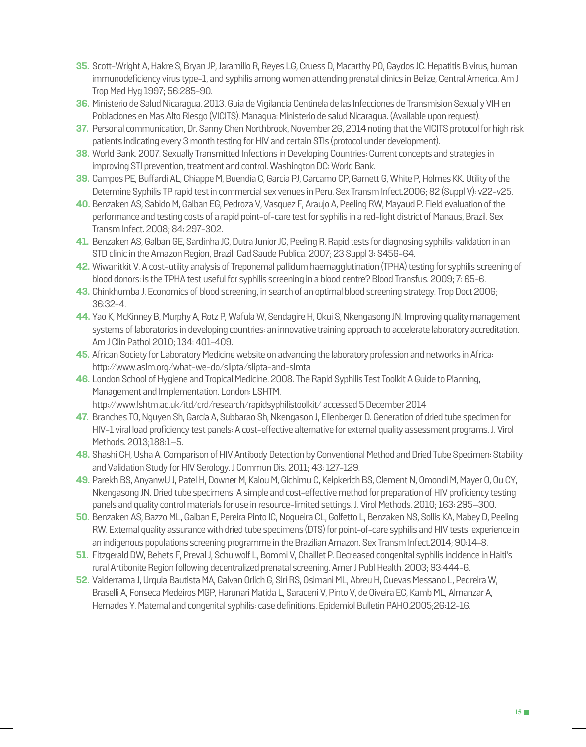- **35.** Scott-Wright A, Hakre S, Bryan JP, Jaramillo R, Reyes LG, Cruess D, Macarthy PO, Gaydos JC. Hepatitis B virus, human immunodeficiency virus type-1, and syphilis among women attending prenatal clinics in Belize, Central America. Am J Trop Med Hyg 1997; 56:285-90.
- **36.** Ministerio de Salud Nicaragua. 2013. Guia de Vigilancia Centinela de las Infecciones de Transmision Sexual y VIH en Poblaciones en Mas Alto Riesgo (VICITS). Managua: Ministerio de salud Nicaragua. (Available upon request).
- **37.** Personal communication, Dr. Sanny Chen Northbrook, November 26, 2014 noting that the VICITS protocol for high risk patients indicating every 3 month testing for HIV and certain STIs (protocol under development).
- **38.** World Bank. 2007. Sexually Transmitted Infections in Developing Countries: Current concepts and strategies in improving STI prevention, treatment and control. Washington DC: World Bank.
- **39.** Campos PE, Buffardi AL, Chiappe M, Buendia C, Garcia PJ, Carcamo CP, Garnett G, White P, Holmes KK. Utility of the Determine Syphilis TP rapid test in commercial sex venues in Peru. Sex Transm Infect.2006; 82 (Suppl V): v22-v25.
- **40.** Benzaken AS, Sabido M, Galban EG, Pedroza V, Vasquez F, Araujo A, Peeling RW, Mayaud P. Field evaluation of the performance and testing costs of a rapid point-of-care test for syphilis in a red-light district of Manaus, Brazil. Sex Transm Infect. 2008; 84: 297-302.
- **41.** Benzaken AS, Galban GE, Sardinha JC, Dutra Junior JC, Peeling R. Rapid tests for diagnosing syphilis: validation in an STD clinic in the Amazon Region, Brazil. Cad Saude Publica. 2007; 23 Suppl 3: S456-64.
- **42.** Wiwanitkit V. A cost-utility analysis of Treponemal pallidum haemagglutination (TPHA) testing for syphilis screening of blood donors: is the TPHA test useful for syphilis screening in a blood centre? Blood Transfus. 2009; 7: 65-6.
- **43.** Chinkhumba J. Economics of blood screening, in search of an optimal blood screening strategy. Trop Doct 2006; 36:32-4.
- **44.** Yao K, McKinney B, Murphy A, Rotz P, Wafula W, Sendagire H, Okui S, Nkengasong JN. Improving quality management systems of laboratorios in developing countries: an innovative training approach to accelerate laboratory accreditation. Am J Clin Pathol 2010; 134: 401-409.
- **45.** African Society for Laboratory Medicine website on advancing the laboratory profession and networks in Africa: http://www.aslm.org/what-we-do/slipta/slipta-and-slmta
- **46.** London School of Hygiene and Tropical Medicine. 2008. The Rapid Syphilis Test Toolkit A Guide to Planning, Management and Implementation. London: LSHTM. http://www.lshtm.ac.uk/itd/crd/research/rapidsyphilistoolkit/ accessed 5 December 2014
- **47.** Branches TO, Nguyen Sh, García A, Subbarao Sh, Nkengason J, Ellenberger D. Generation of dried tube specimen for HIV-1 viral load proficiency test panels: A cost-effective alternative for external quality assessment programs. J. Virol Methods. 2013;188:1–5.
- **48.** Shashi CH, Usha A. Comparison of HIV Antibody Detection by Conventional Method and Dried Tube Specimen: Stability and Validation Study for HIV Serology. J Commun Dis. 2011; 43: 127-129.
- **49.** Parekh BS, AnyanwU J, Patel H, Downer M, Kalou M, Gichimu C, Keipkerich BS, Clement N, Omondi M, Mayer O, Ou CY, Nkengasong JN. Dried tube specimens: A simple and cost-effective method for preparation of HIV proficiency testing panels and quality control materials for use in resource-limited settings. J. Virol Methods. 2010; 163: 295–300.
- **50.** Benzaken AS, Bazzo ML, Galban E, Pereira Pinto IC, Nogueira CL, Golfetto L, Benzaken NS, Sollis KA, Mabey D, Peeling RW. External quality assurance with dried tube specimens (DTS) for point-of-care syphilis and HIV tests: experience in an indigenous populations screening programme in the Brazilian Amazon. Sex Transm Infect.2014; 90:14-8.
- **51.** Fitzgerald DW, Behets F, Preval J, Schulwolf L, Bommi V, Chaillet P. Decreased congenital syphilis incidence in Haiti's rural Artibonite Region following decentralized prenatal screening. Amer J Publ Health. 2003; 93:444-6.
- **52.** Valderrama J, Urquia Bautista MA, Galvan Orlich G, Siri RS, Osimani ML, Abreu H, Cuevas Messano L, Pedreira W, Braselli A, Fonseca Medeiros MGP, Harunari Matida L, Saraceni V, Pinto V, de Oiveira EC, Kamb ML, Almanzar A, Hernades Y. Maternal and congenital syphilis: case definitions. Epidemiol Bulletin PAHO.2005;26:12-16.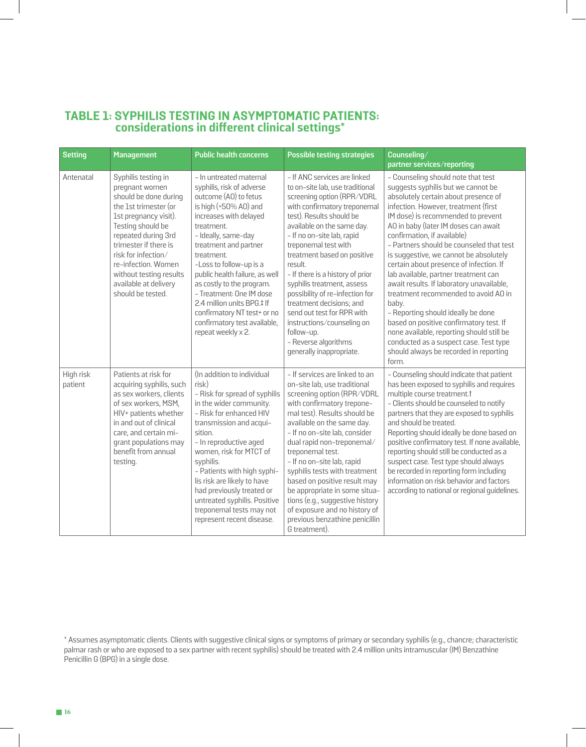## **TABLE 1: SYPHILIS TESTING IN ASYMPTOMATIC PATIENTS: considerations in different clinical settings\***

| <b>Setting</b>       | <b>Management</b>                                                                                                                                                                                                                                                                                            | <b>Public health concerns</b>                                                                                                                                                                                                                                                                                                                                                                                                                         | <b>Possible testing strategies</b>                                                                                                                                                                                                                                                                                                                                                                                                                                                                                                                     | Counseling/<br>partner services/reporting                                                                                                                                                                                                                                                                                                                                                                                                                                                                                                                                                                                                                                                                                                                               |
|----------------------|--------------------------------------------------------------------------------------------------------------------------------------------------------------------------------------------------------------------------------------------------------------------------------------------------------------|-------------------------------------------------------------------------------------------------------------------------------------------------------------------------------------------------------------------------------------------------------------------------------------------------------------------------------------------------------------------------------------------------------------------------------------------------------|--------------------------------------------------------------------------------------------------------------------------------------------------------------------------------------------------------------------------------------------------------------------------------------------------------------------------------------------------------------------------------------------------------------------------------------------------------------------------------------------------------------------------------------------------------|-------------------------------------------------------------------------------------------------------------------------------------------------------------------------------------------------------------------------------------------------------------------------------------------------------------------------------------------------------------------------------------------------------------------------------------------------------------------------------------------------------------------------------------------------------------------------------------------------------------------------------------------------------------------------------------------------------------------------------------------------------------------------|
| Antenatal            | Syphilis testing in<br>pregnant women<br>should be done during<br>the 1st trimester (or<br>1st pregnancy visit).<br>Testing should be<br>repeated during 3rd<br>trimester if there is<br>risk for infection/<br>re-infection. Women<br>without testing results<br>available at delivery<br>should be tested. | - In untreated maternal<br>syphilis, risk of adverse<br>outcome (AO) to fetus<br>is high (>50% A0) and<br>increases with delayed<br>treatment.<br>- Ideally, same-day<br>treatment and partner<br>treatment.<br>-Loss to follow-up is a<br>public health failure, as well<br>as costly to the program.<br>- Treatment: One IM dose<br>2.4 million units BPG.‡ If<br>confirmatory NT test+ or no<br>confirmatory test available,<br>repeat weekly x 2. | - If ANC services are linked<br>to on-site lab, use traditional<br>screening option (RPR/VDRL<br>with confirmatory treponemal<br>test). Results should be<br>available on the same day.<br>- If no on-site lab, rapid<br>treponemal test with<br>treatment based on positive<br>result.<br>- If there is a history of prior<br>syphilis treatment, assess<br>possibility of re-infection for<br>treatment decisions; and<br>send out test for RPR with<br>instructions/counseling on<br>follow-up.<br>- Reverse algorithms<br>generally inappropriate. | - Counseling should note that test<br>suggests syphilis but we cannot be<br>absolutely certain about presence of<br>infection. However, treatment (first<br>IM dose) is recommended to prevent<br>AO in baby (later IM doses can await<br>confirmation, if available)<br>- Partners should be counseled that test<br>is suggestive, we cannot be absolutely<br>certain about presence of infection. If<br>lab available, partner treatment can<br>await results. If laboratory unavailable,<br>treatment recommended to avoid AO in<br>baby.<br>- Reporting should ideally be done<br>based on positive confirmatory test. If<br>none available, reporting should still be<br>conducted as a suspect case. Test type<br>should always be recorded in reporting<br>form. |
| High risk<br>patient | Patients at risk for<br>acquiring syphilis, such<br>as sex workers, clients<br>of sex workers, MSM,<br>HIV+ patients whether<br>in and out of clinical<br>care, and certain mi-<br>grant populations may<br>benefit from annual<br>testing.                                                                  | (In addition to individual<br>risk)<br>- Risk for spread of syphilis<br>in the wider community.<br>- Risk for enhanced HIV<br>transmission and acqui-<br>sition.<br>- In reproductive aged<br>women, risk for MTCT of<br>syphilis.<br>- Patients with high syphi-<br>lis risk are likely to have<br>had previously treated or<br>untreated syphilis. Positive<br>treponemal tests may not<br>represent recent disease.                                | - If services are linked to an<br>on-site lab, use traditional<br>screening option (RPR/VDRL<br>with confirmatory trepone-<br>mal test). Results should be<br>available on the same day.<br>- If no on-site lab, consider<br>dual rapid non-treponemal/<br>treponemal test.<br>- If no on-site lab, rapid<br>syphilis tests with treatment<br>based on positive result may<br>be appropriate in some situa-<br>tions (e.g., suggestive history<br>of exposure and no history of<br>previous benzathine penicillin<br>G treatment).                     | - Counseling should indicate that patient<br>has been exposed to syphilis and requires<br>multiple course treatment. <sup>†</sup><br>- Clients should be counseled to notify<br>partners that they are exposed to syphilis<br>and should be treated.<br>Reporting should ideally be done based on<br>positive confirmatory test. If none available,<br>reporting should still be conducted as a<br>suspect case. Test type should always<br>be recorded in reporting form including<br>information on risk behavior and factors<br>according to national or regional guidelines.                                                                                                                                                                                        |

<sup>\*</sup> Assumes asymptomatic clients. Clients with suggestive clinical signs or symptoms of primary or secondary syphilis (e.g., chancre; characteristic palmar rash or who are exposed to a sex partner with recent syphilis) should be treated with 2.4 million units intramuscular (IM) Benzathine Penicillin G (BPG) in a single dose.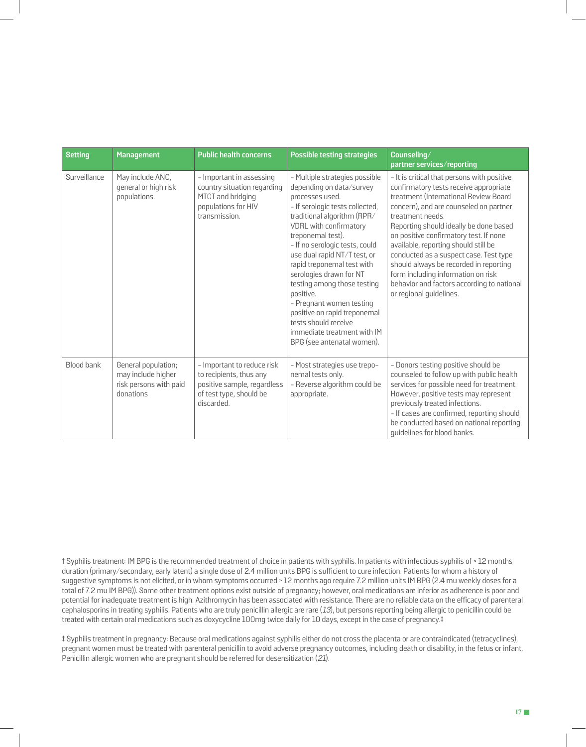| <b>Setting</b> | <b>Management</b>                                                                | <b>Public health concerns</b>                                                                                                 | <b>Possible testing strategies</b>                                                                                                                                                                                                                                                                                                                                                                                                                                                                                     | Counseling/<br>partner services/reporting                                                                                                                                                                                                                                                                                                                                                                                                                                                                                   |
|----------------|----------------------------------------------------------------------------------|-------------------------------------------------------------------------------------------------------------------------------|------------------------------------------------------------------------------------------------------------------------------------------------------------------------------------------------------------------------------------------------------------------------------------------------------------------------------------------------------------------------------------------------------------------------------------------------------------------------------------------------------------------------|-----------------------------------------------------------------------------------------------------------------------------------------------------------------------------------------------------------------------------------------------------------------------------------------------------------------------------------------------------------------------------------------------------------------------------------------------------------------------------------------------------------------------------|
| Surveillance   | May include ANC,<br>general or high risk<br>populations.                         | - Important in assessing<br>country situation regarding<br>MTCT and bridging<br>populations for HIV<br>transmission.          | - Multiple strategies possible<br>depending on data/survey<br>processes used.<br>- If serologic tests collected,<br>traditional algorithm (RPR/<br>VDRL with confirmatory<br>treponemal test).<br>- If no serologic tests, could<br>use dual rapid NT/T test, or<br>rapid treponemal test with<br>serologies drawn for NT<br>testing among those testing<br>positive.<br>- Pregnant women testing<br>positive on rapid treponemal<br>tests should receive<br>immediate treatment with IM<br>BPG (see antenatal women). | - It is critical that persons with positive<br>confirmatory tests receive appropriate<br>treatment (International Review Board<br>concern), and are counseled on partner<br>treatment needs.<br>Reporting should ideally be done based<br>on positive confirmatory test. If none<br>available, reporting should still be<br>conducted as a suspect case. Test type<br>should always be recorded in reporting<br>form including information on risk<br>behavior and factors according to national<br>or regional guidelines. |
| Blood bank     | General population;<br>may include higher<br>risk persons with paid<br>donations | - Important to reduce risk<br>to recipients, thus any<br>positive sample, regardless<br>of test type, should be<br>discarded. | - Most strategies use trepo-<br>nemal tests only.<br>- Reverse algorithm could be<br>appropriate.                                                                                                                                                                                                                                                                                                                                                                                                                      | - Donors testing positive should be<br>counseled to follow up with public health<br>services for possible need for treatment.<br>However, positive tests may represent<br>previously treated infections.<br>- If cases are confirmed, reporting should<br>be conducted based on national reporting<br>quidelines for blood banks.                                                                                                                                                                                           |

† Syphilis treatment: IM BPG is the recommended treatment of choice in patients with syphilis. In patients with infectious syphilis of < 12 months duration (primary/secondary, early latent) a single dose of 2.4 million units BPG is sufficient to cure infection. Patients for whom a history of suggestive symptoms is not elicited, or in whom symptoms occurred > 12 months ago require 7.2 million units IM BPG (2.4 mu weekly doses for a total of 7.2 mu IM BPG)). Some other treatment options exist outside of pregnancy; however, oral medications are inferior as adherence is poor and potential for inadequate treatment is high. Azithromycin has been associated with resistance. There are no reliable data on the efficacy of parenteral cephalosporins in treating syphilis. Patients who are truly penicillin allergic are rare  $(13)$ , but persons reporting being allergic to penicillin could be treated with certain oral medications such as doxycycline 100mg twice daily for 10 days, except in the case of pregnancy.‡

‡ Syphilis treatment in pregnancy: Because oral medications against syphilis either do not cross the placenta or are contraindicated (tetracyclines), pregnant women must be treated with parenteral penicillin to avoid adverse pregnancy outcomes, including death or disability, in the fetus or infant. Penicillin allergic women who are pregnant should be referred for desensitization (21).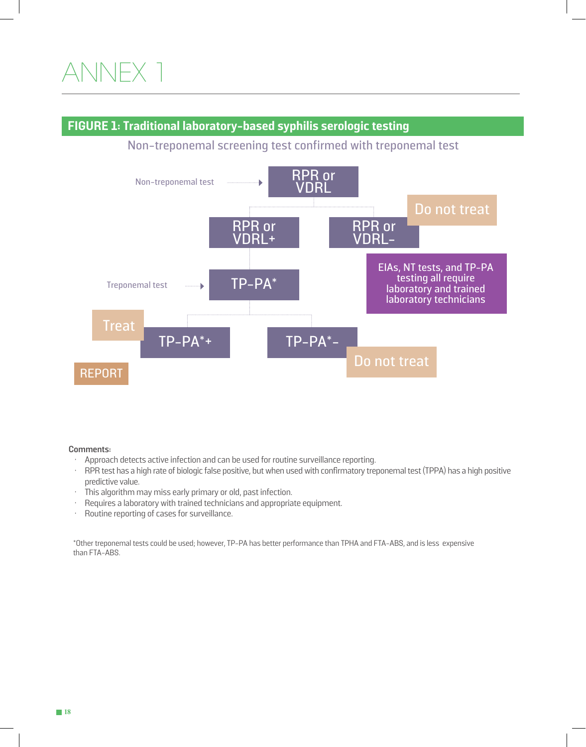## ANNEX 1

### **FIGURE 1: Traditional laboratory-based syphilis serologic testing**

Non-treponemal screening test confirmed with treponemal test



#### **Comments:**

- Approach detects active infection and can be used for routine surveillance reporting.
- RPR test has a high rate of biologic false positive, but when used with confirmatory treponemal test (TPPA) has a high positive predictive value.
- This algorithm may miss early primary or old, past infection.
- Requires a laboratory with trained technicians and appropriate equipment.
- Routine reporting of cases for surveillance.

\*Other treponemal tests could be used; however, TP-PA has better performance than TPHA and FTA-ABS, and is less expensive than FTA-ABS.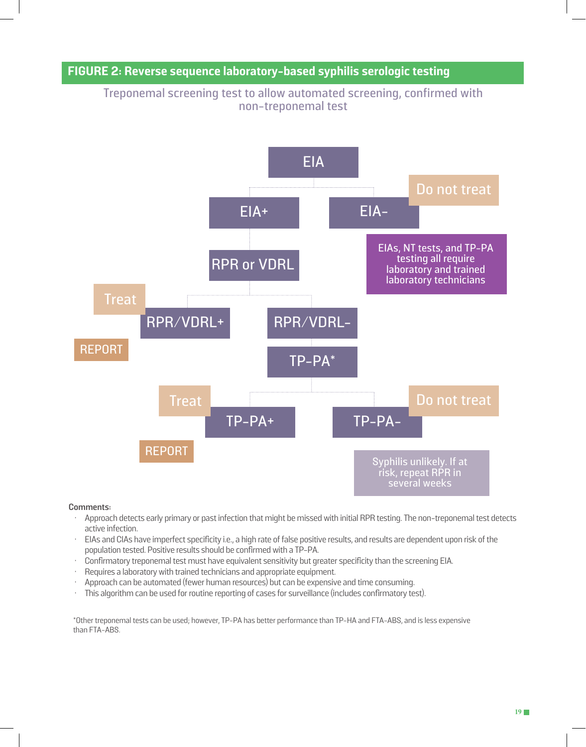### **FIGURE 2: Reverse sequence laboratory-based syphilis serologic testing**

Treponemal screening test to allow automated screening, confirmed with non-treponemal test



#### **Comments:**

- Approach detects early primary or past infection that might be missed with initial RPR testing. The non-treponemal test detects active infection.
- EIAs and CIAs have imperfect specificity i.e., a high rate of false positive results, and results are dependent upon risk of the population tested. Positive results should be confirmed with a TP-PA.
- Confirmatory treponemal test must have equivalent sensitivity but greater specificity than the screening EIA.
- Requires a laboratory with trained technicians and appropriate equipment.
- Approach can be automated (fewer human resources) but can be expensive and time consuming.
- This algorithm can be used for routine reporting of cases for surveillance (includes confirmatory test).

\*Other treponemal tests can be used; however, TP-PA has better performance than TP-HA and FTA-ABS, and is less expensive than FTA-ABS.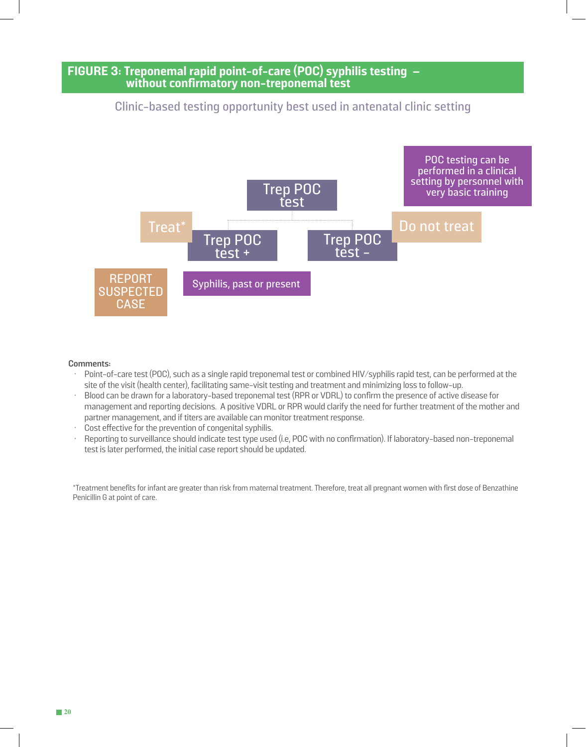### **FIGURE 3: Treponemal rapid point-of-care (POC) syphilis testing – without confirmatory non-treponemal test**

### Clinic-based testing opportunity best used in antenatal clinic setting



#### **Comments:**

- Point-of-care test (POC), such as a single rapid treponemal test or combined HIV/syphilis rapid test, can be performed at the site of the visit (health center), facilitating same-visit testing and treatment and minimizing loss to follow-up.
- Blood can be drawn for a laboratory-based treponemal test (RPR or VDRL) to confirm the presence of active disease for management and reporting decisions. A positive VDRL or RPR would clarify the need for further treatment of the mother and partner management, and if titers are available can monitor treatment response.
- Cost effective for the prevention of congenital syphilis.
- Reporting to surveillance should indicate test type used (i.e, POC with no confirmation). If laboratory-based non-treponemal test is later performed, the initial case report should be updated.

\*Treatment benefits for infant are greater than risk from maternal treatment. Therefore, treat all pregnant women with first dose of Benzathine Penicillin G at point of care.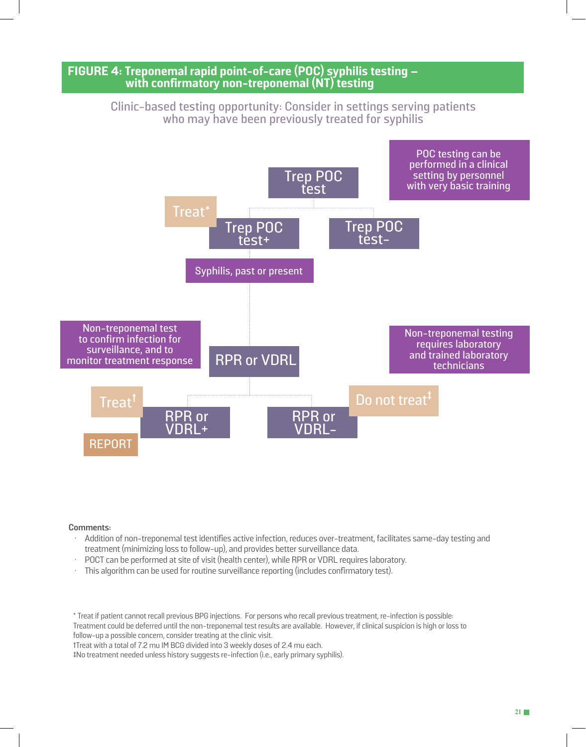### **FIGURE 4: Treponemal rapid point-of-care (POC) syphilis testing – with confirmatory non-treponemal (NT) testing**

Clinic-based testing opportunity: Consider in settings serving patients who may have been previously treated for syphilis



#### **Comments:**

- Addition of non-treponemal test identifies active infection, reduces over-treatment, facilitates same-day testing and treatment (minimizing loss to follow-up), and provides better surveillance data.
- POCT can be performed at site of visit (health center), while RPR or VDRL requires laboratory.
- This algorithm can be used for routine surveillance reporting (includes confirmatory test).

\* Treat if patient cannot recall previous BPG injections. For persons who recall previous treatment, re-infection is possible: Treatment could be deferred until the non-treponemal test results are available. However, if clinical suspicion is high or loss to follow-up a possible concern, consider treating at the clinic visit.

†Treat with a total of 7.2 mu IM BCG divided into 3 weekly doses of 2.4 mu each.

‡No treatment needed unless history suggests re-infection (i.e., early primary syphilis).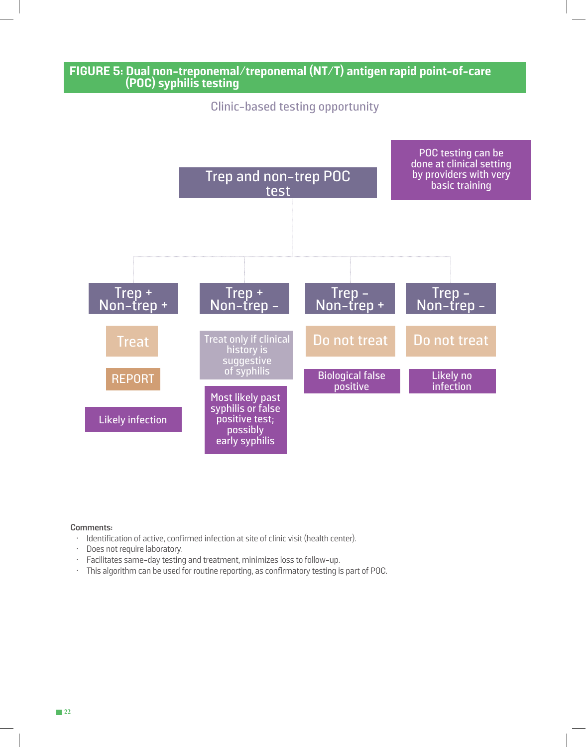

#### **Comments:**

- Identification of active, confirmed infection at site of clinic visit (health center).
- Does not require laboratory.
- Facilitates same-day testing and treatment, minimizes loss to follow-up.
- This algorithm can be used for routine reporting, as confirmatory testing is part of POC.